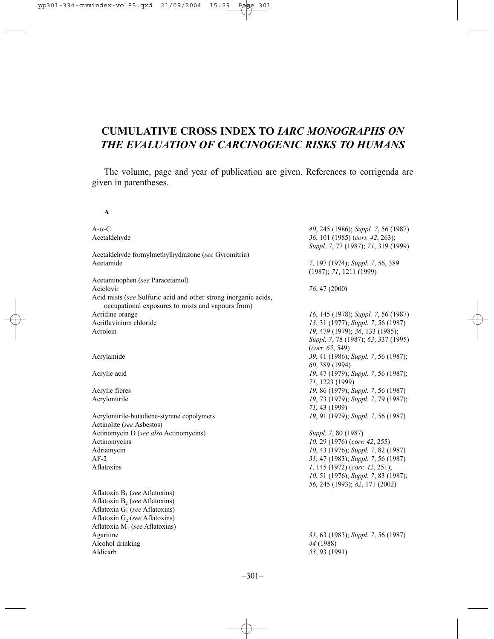# **CUMULATIVE CROSS INDEX TO** *IARC MONOGRAPHS ON THE EVALUATION OF CARCINOGENIC RISKS TO HUMANS*

The volume, page and year of publication are given. References to corrigenda are given in parentheses.

**A**

| $A-\alpha-C$                                                                                                         | 40, 245 (1986); Suppl. 7, 56 (1987)                                    |
|----------------------------------------------------------------------------------------------------------------------|------------------------------------------------------------------------|
| Acetaldehyde                                                                                                         | 36, 101 (1985) (corr. 42, 263);<br>Suppl. 7, 77 (1987); 71, 319 (1999) |
| Acetaldehyde formylmethylhydrazone (see Gyromitrin)                                                                  |                                                                        |
| Acetamide                                                                                                            | 7, 197 (1974); Suppl. 7, 56, 389<br>(1987); 71, 1211 (1999)            |
| Acetaminophen (see Paracetamol)                                                                                      |                                                                        |
| Aciclovir                                                                                                            | 76, 47 (2000)                                                          |
| Acid mists (see Sulfuric acid and other strong inorganic acids,<br>occupational exposures to mists and vapours from) |                                                                        |
| Acridine orange                                                                                                      | 16, 145 (1978); Suppl. 7, 56 (1987)                                    |
| Acriflavinium chloride                                                                                               | 13, 31 (1977); Suppl. 7, 56 (1987)                                     |
| Acrolein                                                                                                             | 19, 479 (1979); 36, 133 (1985);                                        |
|                                                                                                                      | Suppl. 7, 78 (1987); 63, 337 (1995)<br>(corr. 65, 549)                 |
| Acrylamide                                                                                                           | 39, 41 (1986); Suppl. 7, 56 (1987);<br>60, 389 (1994)                  |
| Acrylic acid                                                                                                         | 19, 47 (1979); Suppl. 7, 56 (1987);<br>71, 1223 (1999)                 |
| Acrylic fibres                                                                                                       | 19, 86 (1979); Suppl. 7, 56 (1987)                                     |
| Acrylonitrile                                                                                                        | 19, 73 (1979); Suppl. 7, 79 (1987);                                    |
|                                                                                                                      | 71, 43 (1999)                                                          |
| Acrylonitrile-butadiene-styrene copolymers                                                                           | 19, 91 (1979); Suppl. 7, 56 (1987)                                     |
| Actinolite (see Asbestos)                                                                                            |                                                                        |
| Actinomycin D (see also Actinomycins)                                                                                | Suppl. 7, 80 (1987)                                                    |
| Actinomycins                                                                                                         | $10, 29$ (1976) (corr. 42, 255)                                        |
| Adriamycin                                                                                                           | 10, 43 (1976); Suppl. 7, 82 (1987)                                     |
| $AF-2$                                                                                                               | 31, 47 (1983); Suppl. 7, 56 (1987)                                     |
| Aflatoxins                                                                                                           | 1, 145 (1972) (corr. 42, 251);                                         |
|                                                                                                                      | 10, 51 (1976); Suppl. 7, 83 (1987);                                    |
|                                                                                                                      | 56, 245 (1993); 82, 171 (2002)                                         |
| Aflatoxin $B_1$ (see Aflatoxins)                                                                                     |                                                                        |
| Aflatoxin $B_2$ (see Aflatoxins)                                                                                     |                                                                        |
| Aflatoxin $G_1$ (see Aflatoxins)                                                                                     |                                                                        |
| Aflatoxin $G_2$ (see Aflatoxins)                                                                                     |                                                                        |
| Aflatoxin $M_1$ (see Aflatoxins)                                                                                     |                                                                        |
| Agaritine                                                                                                            | 31, 63 (1983); Suppl. 7, 56 (1987)                                     |
| Alcohol drinking                                                                                                     | 44 (1988)                                                              |
| Aldicarb                                                                                                             | 53, 93 (1991)                                                          |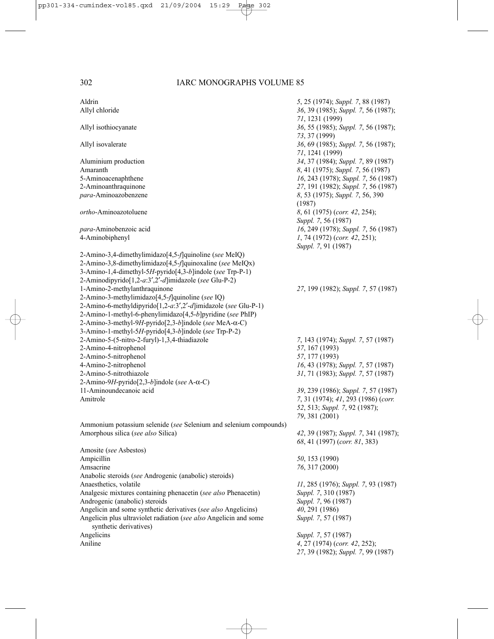| Aldrin                                                                                                                 | 5, 25 (1974); Suppl. 7, 88 (1987)                                       |
|------------------------------------------------------------------------------------------------------------------------|-------------------------------------------------------------------------|
| Allyl chloride                                                                                                         | 36, 39 (1985); Suppl. 7, 56 (1987);                                     |
|                                                                                                                        | 71, 1231 (1999)                                                         |
| Allyl isothiocyanate                                                                                                   | 36, 55 (1985); Suppl. 7, 56 (1987);                                     |
|                                                                                                                        | 73, 37 (1999)                                                           |
| Allyl isovalerate                                                                                                      | 36, 69 (1985); Suppl. 7, 56 (1987);                                     |
|                                                                                                                        | 71, 1241 (1999)                                                         |
| Aluminium production<br>Amaranth                                                                                       | 34, 37 (1984); Suppl. 7, 89 (1987)<br>8, 41 (1975); Suppl. 7, 56 (1987) |
| 5-Aminoacenaphthene                                                                                                    | 16, 243 (1978); Suppl. 7, 56 (1987)                                     |
| 2-Aminoanthraquinone                                                                                                   | 27, 191 (1982); Suppl. 7, 56 (1987)                                     |
| para-Aminoazobenzene                                                                                                   | 8, 53 (1975); Suppl. 7, 56, 390                                         |
|                                                                                                                        | (1987)                                                                  |
| <i>ortho</i> -Aminoazotoluene                                                                                          | 8, 61 (1975) (corr. 42, 254);                                           |
|                                                                                                                        | Suppl. 7, 56 (1987)                                                     |
| para-Aminobenzoic acid                                                                                                 | 16, 249 (1978); Suppl. 7, 56 (1987)                                     |
| 4-Aminobiphenyl                                                                                                        | 1, 74 (1972) (corr. 42, 251);                                           |
|                                                                                                                        | Suppl. 7, 91 (1987)                                                     |
| 2-Amino-3,4-dimethylimidazo[4,5- <i>f</i> ]quinoline (see MeIQ)                                                        |                                                                         |
| 2-Amino-3,8-dimethylimidazo[4,5-f]quinoxaline (see MeIQx)<br>3-Amino-1,4-dimethyl-5H-pyrido[4,3-b]indole (see Trp-P-1) |                                                                         |
| 2-Aminodipyrido[1,2-a.3',2'-d]imidazole (see Glu-P-2)                                                                  |                                                                         |
| 1-Amino-2-methylanthraquinone                                                                                          | 27, 199 (1982); Suppl. 7, 57 (1987)                                     |
| 2-Amino-3-methylimidazo[4,5-f]quinoline (see IQ)                                                                       |                                                                         |
| 2-Amino-6-methyldipyrido[1,2-a:3',2'-d]imidazole (see Glu-P-1)                                                         |                                                                         |
| 2-Amino-1-methyl-6-phenylimidazo[4,5-b]pyridine (see PhIP)                                                             |                                                                         |
| 2-Amino-3-methyl-9H-pyrido[2,3-b]indole (see MeA-α-C)                                                                  |                                                                         |
| 3-Amino-1-methyl-5H-pyrido[4,3-b]indole (see Trp-P-2)                                                                  |                                                                         |
| 2-Amino-5-(5-nitro-2-furyl)-1,3,4-thiadiazole                                                                          | 7, 143 (1974); Suppl. 7, 57 (1987)                                      |
| 2-Amino-4-nitrophenol                                                                                                  | 57, 167 (1993)                                                          |
| 2-Amino-5-nitrophenol                                                                                                  | 57, 177 (1993)                                                          |
| 4-Amino-2-nitrophenol                                                                                                  | 16, 43 (1978); Suppl. 7, 57 (1987)                                      |
| 2-Amino-5-nitrothiazole<br>2-Amino-9H-pyrido[2,3-b]indole (see A- $\alpha$ -C)                                         | 31, 71 (1983); Suppl. 7, 57 (1987)                                      |
| 11-Aminoundecanoic acid                                                                                                | 39, 239 (1986); Suppl. 7, 57 (1987)                                     |
| Amitrole                                                                                                               | 7, 31 (1974); 41, 293 (1986) (corr.                                     |
|                                                                                                                        | 52, 513; Suppl. 7, 92 (1987);                                           |
|                                                                                                                        | 79, 381 (2001)                                                          |
| Ammonium potassium selenide (see Selenium and selenium compounds)                                                      |                                                                         |
| Amorphous silica (see also Silica)                                                                                     | 42, 39 (1987); Suppl. 7, 341 (1987);                                    |
|                                                                                                                        | 68, 41 (1997) (corr. 81, 383)                                           |
| Amosite (see Asbestos)                                                                                                 |                                                                         |
| Ampicillin                                                                                                             | 50, 153 (1990)                                                          |
| Amsacrine                                                                                                              | 76, 317 (2000)                                                          |
| Anabolic steroids (see Androgenic (anabolic) steroids)                                                                 |                                                                         |
| Anaesthetics, volatile<br>Analgesic mixtures containing phenacetin (see also Phenacetin)                               | 11, 285 (1976); Suppl. 7, 93 (1987)                                     |
| Androgenic (anabolic) steroids                                                                                         | Suppl. 7, 310 (1987)<br>Suppl. 7, 96 (1987)                             |
| Angelicin and some synthetic derivatives (see also Angelicins)                                                         | 40, 291 (1986)                                                          |
| Angelicin plus ultraviolet radiation (see also Angelicin and some                                                      | Suppl. 7, 57 (1987)                                                     |
| synthetic derivatives)                                                                                                 |                                                                         |
| Angelicins                                                                                                             | Suppl. 7, 57 (1987)                                                     |
| Aniline                                                                                                                | 4, 27 (1974) (corr. 42, 252);                                           |
|                                                                                                                        | 27, 39 (1982); Suppl. 7, 99 (1987)                                      |
|                                                                                                                        |                                                                         |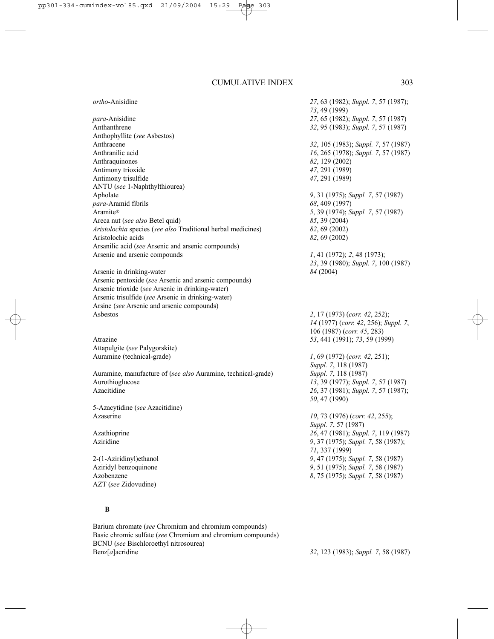| ortho-Anisidine                                               | 27, 63 (1982); Suppl. 7, 57 (1987);                                |
|---------------------------------------------------------------|--------------------------------------------------------------------|
|                                                               | 73, 49 (1999)                                                      |
| para-Anisidine                                                | 27, 65 (1982); Suppl. 7, 57 (1987)                                 |
| Anthanthrene                                                  | 32, 95 (1983); Suppl. 7, 57 (1987)                                 |
| Anthophyllite (see Asbestos)                                  |                                                                    |
| Anthracene                                                    | 32, 105 (1983); Suppl. 7, 57 (1987)                                |
| Anthranilic acid                                              | 16, 265 (1978); Suppl. 7, 57 (1987)                                |
| Anthraquinones                                                | 82, 129 (2002)                                                     |
| Antimony trioxide                                             | 47, 291 (1989)                                                     |
| Antimony trisulfide                                           | 47, 291 (1989)                                                     |
| ANTU (see 1-Naphthylthiourea)                                 |                                                                    |
| Apholate                                                      | 9, 31 (1975); Suppl. 7, 57 (1987)                                  |
| para-Aramid fibrils                                           | 68, 409 (1997)                                                     |
| Aramite®                                                      | 5, 39 (1974); Suppl. 7, 57 (1987)                                  |
| Areca nut (see also Betel quid)                               | 85, 39 (2004)                                                      |
| Aristolochia species (see also Traditional herbal medicines)  | 82, 69 (2002)                                                      |
| Aristolochic acids                                            | 82, 69 (2002)                                                      |
| Arsanilic acid (see Arsenic and arsenic compounds)            |                                                                    |
| Arsenic and arsenic compounds                                 | 1, 41 (1972); 2, 48 (1973);                                        |
|                                                               | 23, 39 (1980); Suppl. 7, 100 (1987)                                |
| Arsenic in drinking-water                                     | 84 (2004)                                                          |
| Arsenic pentoxide (see Arsenic and arsenic compounds)         |                                                                    |
| Arsenic trioxide (see Arsenic in drinking-water)              |                                                                    |
| Arsenic trisulfide (see Arsenic in drinking-water)            |                                                                    |
| Arsine (see Arsenic and arsenic compounds)                    |                                                                    |
| Ashestos                                                      | 2, 17 (1973) (corr. 42, 252);                                      |
|                                                               |                                                                    |
|                                                               | 14 (1977) (corr. 42, 256); Suppl. 7,<br>106 (1987) (corr. 45, 283) |
| Atrazine                                                      | 53, 441 (1991); 73, 59 (1999)                                      |
|                                                               |                                                                    |
| Attapulgite (see Palygorskite)                                |                                                                    |
| Auramine (technical-grade)                                    | $1, 69$ (1972) (corr. 42, 251);                                    |
|                                                               | Suppl. 7, 118 (1987)                                               |
| Auramine, manufacture of (see also Auramine, technical-grade) | Suppl. 7, 118 (1987)                                               |
| Aurothioglucose                                               | 13, 39 (1977); Suppl. 7, 57 (1987)                                 |
| Azacitidine                                                   | 26, 37 (1981); Suppl. 7, 57 (1987);                                |
|                                                               | 50, 47 (1990)                                                      |
| 5-Azacytidine (see Azacitidine)                               |                                                                    |
| Azaserine                                                     | 10, 73 (1976) (corr. 42, 255);                                     |
|                                                               | Suppl. 7, 57 (1987)                                                |
| Azathioprine                                                  | 26, 47 (1981); Suppl. 7, 119 (1987)                                |
| Aziridine                                                     | 9, 37 (1975); Suppl. 7, 58 (1987);                                 |
|                                                               | 71, 337 (1999)                                                     |
| 2-(1-Aziridinyl) ethanol                                      | 9, 47 (1975); Suppl. 7, 58 (1987)                                  |
| Aziridyl benzoquinone                                         | 9, 51 (1975); Suppl. 7, 58 (1987)                                  |
| Azobenzene                                                    | 8, 75 (1975); Suppl. 7, 58 (1987)                                  |
| AZT (see Zidovudine)                                          |                                                                    |

## **B**

Barium chromate (*see* Chromium and chromium compounds) Basic chromic sulfate (*see* Chromium and chromium compounds) BCNU (*see* Bischloroethyl nitrosourea)

Benz[*a*]acridine *32*, 123 (1983); *Suppl. 7*, 58 (1987)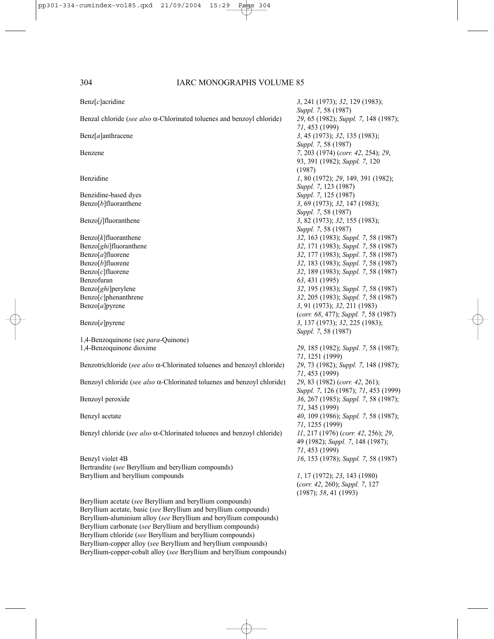| $\text{Benz}[c]$ acridine                                                       | 3, 241 (1973); 32, 129 (1983);<br>Suppl. 7, 58 (1987)                  |
|---------------------------------------------------------------------------------|------------------------------------------------------------------------|
| Benzal chloride (see also $\alpha$ -Chlorinated toluenes and benzoyl chloride)  | 29, 65 (1982); Suppl. 7, 148 (1987);<br>71, 453 (1999)                 |
| $\text{Benz}[a]$ anthracene                                                     | 3, 45 (1973); 32, 135 (1983);<br>Suppl. 7, 58 (1987)                   |
| Benzene                                                                         | 7, 203 (1974) (corr. 42, 254); 29,                                     |
|                                                                                 | 93, 391 (1982); Suppl. 7, 120<br>(1987)                                |
| Benzidine                                                                       | 1, 80 (1972); 29, 149, 391 (1982);<br>Suppl. 7, 123 (1987)             |
| Benzidine-based dyes                                                            | Suppl. 7, 125 (1987)                                                   |
| $\text{Benzo}[b]$ fluoranthene                                                  | 3, 69 (1973); 32, 147 (1983);                                          |
|                                                                                 | Suppl. 7, 58 (1987)                                                    |
| $\text{Benzo}[j]$ fluoranthene                                                  | 3, 82 (1973); 32, 155 (1983);                                          |
|                                                                                 | Suppl. 7, 58 (1987)                                                    |
| $\text{Benzo}[k]$ fluoranthene                                                  | 32, 163 (1983); Suppl. 7, 58 (1987)                                    |
| Benzo[ghi]fluoranthene                                                          | 32, 171 (1983); Suppl. 7, 58 (1987)                                    |
| $Benzo[a]$ fluorene                                                             | 32, 177 (1983); Suppl. 7, 58 (1987)                                    |
| $\text{Benzo}[b]$ fluorene                                                      | 32, 183 (1983); Suppl. 7, 58 (1987)                                    |
| Benzo $[c]$ fluorene                                                            | 32, 189 (1983); Suppl. 7, 58 (1987)                                    |
| Benzofuran                                                                      | 63, 431 (1995)                                                         |
| Benzo[ghi]perylene                                                              | 32, 195 (1983); Suppl. 7, 58 (1987)                                    |
| $\text{Benzo}[c]$ phenanthrene                                                  | 32, 205 (1983); Suppl. 7, 58 (1987)                                    |
| Benzo[a]pyrene                                                                  | 3, 91 (1973); 32, 211 (1983)                                           |
|                                                                                 | (corr. 68, 477); Suppl. 7, 58 (1987)                                   |
| Benzo[e]pyrene                                                                  | 3, 137 (1973); 32, 225 (1983);                                         |
|                                                                                 | Suppl. 7, 58 (1987)                                                    |
| 1,4-Benzoquinone (see para-Quinone)                                             |                                                                        |
| 1,4-Benzoquinone dioxime                                                        | 29, 185 (1982); Suppl. 7, 58 (1987);<br>71, 1251 (1999)                |
| Benzotrichloride (see also $\alpha$ -Chlorinated toluenes and benzoyl chloride) | 29, 73 (1982); Suppl. 7, 148 (1987);                                   |
|                                                                                 | 71, 453 (1999)                                                         |
| Benzoyl chloride (see also $\alpha$ -Chlorinated toluenes and benzoyl chloride) | 29, 83 (1982) (corr. 42, 261);<br>Suppl. 7, 126 (1987); 71, 453 (1999) |
| Benzoyl peroxide                                                                | 36, 267 (1985); Suppl. 7, 58 (1987);                                   |
|                                                                                 | 71, 345 (1999)                                                         |
| Benzyl acetate                                                                  | 40, 109 (1986); Suppl. 7, 58 (1987);                                   |
|                                                                                 | 71, 1255 (1999)                                                        |
| Benzyl chloride (see also $\alpha$ -Chlorinated toluenes and benzoyl chloride)  | 11, 217 (1976) (corr. 42, 256); 29,                                    |
|                                                                                 | 49 (1982); Suppl. 7, 148 (1987);                                       |
|                                                                                 | 71, 453 (1999)                                                         |
| Benzyl violet 4B                                                                | 16, 153 (1978); Suppl. 7, 58 (1987)                                    |
| Bertrandite (see Beryllium and beryllium compounds)                             |                                                                        |
| Beryllium and beryllium compounds                                               | 1, 17 (1972); 23, 143 (1980)                                           |
|                                                                                 | (corr. 42, 260); Suppl. 7, 127                                         |
|                                                                                 | (1987); 58, 41 (1993)                                                  |
| Beryllium acetate (see Beryllium and beryllium compounds)                       |                                                                        |
| Beryllium acetate, basic (see Beryllium and beryllium compounds)                |                                                                        |
| Beryllium-aluminium alloy (see Beryllium and beryllium compounds)               |                                                                        |
| Beryllium carbonate (see Beryllium and beryllium compounds)                     |                                                                        |
| Beryllium chloride (see Beryllium and beryllium compounds)                      |                                                                        |
| Beryllium-copper alloy (see Beryllium and beryllium compounds)                  |                                                                        |
| Beryllium-copper-cobalt alloy (see Beryllium and beryllium compounds)           |                                                                        |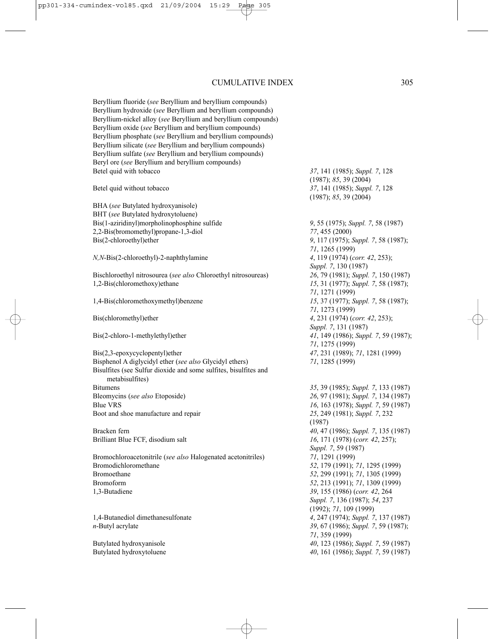Beryllium fluoride (*see* Beryllium and beryllium compounds) Beryllium hydroxide (*see* Beryllium and beryllium compounds) Beryllium-nickel alloy (*see* Beryllium and beryllium compounds) Beryllium oxide (*see* Beryllium and beryllium compounds) Beryllium phosphate (*see* Beryllium and beryllium compounds) Beryllium silicate (*see* Beryllium and beryllium compounds) Beryllium sulfate (*see* Beryllium and beryllium compounds) Beryl ore (*see* Beryllium and beryllium compounds) Betel quid with tobacco *37*, 141 (1985); *Suppl. 7*, 128

BHA (*see* Butylated hydroxyanisole) BHT (*see* Butylated hydroxytoluene) Bis(1-aziridinyl)morpholinophosphine sulfide *9*, 55 (1975); *Suppl. 7*, 58 (1987) 2,2-Bis(bromomethyl)propane-1,3-diol *77*, 455 (2000) Bis(2-chloroethyl)ether *9*, 117 (1975); *Suppl. 7*, 58 (1987);

*N,N*-Bis(2-chloroethyl)-2-naphthylamine *4*, 119 (1974) (*corr. 42*, 253);

Bischloroethyl nitrosourea (*see also* Chloroethyl nitrosoureas) *26*, 79 (1981); *Suppl. 7*, 150 (1987) 1,2-Bis(chloromethoxy)ethane *15*, 31 (1977); *Suppl. 7*, 58 (1987);

Bis(2,3-epoxycyclopentyl)ether *47*, 231 (1989); *71*, 1281 (1999) Bisphenol A diglycidyl ether (*see also* Glycidyl ethers) *71*, 1285 (1999) Bisulfites (see Sulfur dioxide and some sulfites, bisulfites and metabisulfites)

Bitumens *35*, 39 (1985); *Suppl. 7*, 133 (1987) Bleomycins (*see also* Etoposide) *26*, 97 (1981); *Suppl. 7*, 134 (1987) Blue VRS *16*, 163 (1978); *Suppl. 7*, 59 (1987) Boot and shoe manufacture and repair *25*, 249 (1981); *Suppl. 7*, 232

Brilliant Blue FCF, disodium salt *16*, 171 (1978) (*corr. 42*, 257);

Bromochloroacetonitrile (*see also* Halogenated acetonitriles) *71*, 1291 (1999) Bromodichloromethane *52*, 179 (1991); *71*, 1295 (1999) Bromoethane *52*, 299 (1991); *71*, 1305 (1999) Bromoform *52*, 213 (1991); *71*, 1309 (1999) 1,3-Butadiene *39*, 155 (1986) (*corr. 42*, 264

(1987); *85*, 39 (2004) Betel quid without tobacco *37*, 141 (1985); *Suppl. 7*, 128 (1987); *85*, 39 (2004)

*71*, 1265 (1999) *Suppl. 7*, 130 (1987) *71*, 1271 (1999) 1,4-Bis(chloromethoxymethyl)benzene *15*, 37 (1977); *Suppl. 7*, 58 (1987); *71*, 1273 (1999) Bis(chloromethyl)ether *4*, 231 (1974) (*corr. 42*, 253); *Suppl. 7*, 131 (1987) Bis(2-chloro-1-methylethyl)ether *41*, 149 (1986); *Suppl. 7*, 59 (1987); *71*, 1275 (1999)

(1987) Bracken fern *40*, 47 (1986); *Suppl. 7*, 135 (1987) *Suppl. 7*, 59 (1987) *Suppl. 7*, 136 (1987); *54*, 237 (1992); *71*, 109 (1999) 1,4-Butanediol dimethanesulfonate *4*, 247 (1974); *Suppl. 7*, 137 (1987) *n*-Butyl acrylate *39*, 67 (1986); *Suppl. 7*, 59 (1987); *71*, 359 (1999) Butylated hydroxyanisole *40*, 123 (1986); *Suppl. 7*, 59 (1987) Butylated hydroxytoluene *40*, 161 (1986); *Suppl. 7*, 59 (1987)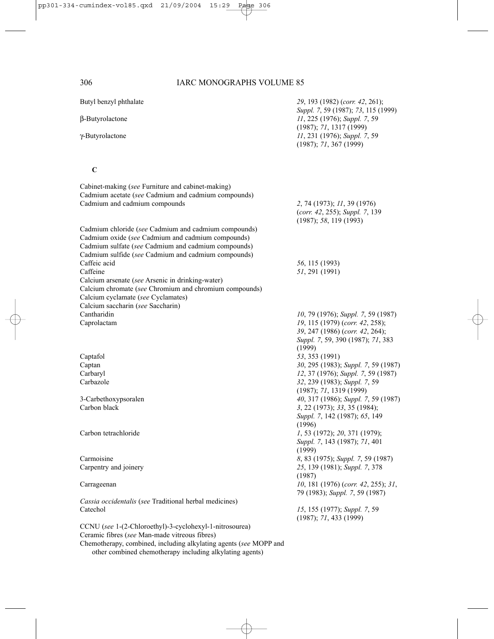Butyl benzyl phthalate *29*, 193 (1982) (*corr. 42*, 261); *Suppl. 7*, 59 (1987); *73*, 115 (1999) β-Butyrolactone *11*, 225 (1976); *Suppl. 7*, 59 (1987); *71*, 1317 (1999) γ-Butyrolactone *11*, 231 (1976); *Suppl. 7*, 59 (1987); *71*, 367 (1999)

# **C**

| Cabinet-making (see Furniture and cabinet-making)<br>Cadmium acetate (see Cadmium and cadmium compounds)<br>Cadmium and cadmium compounds | 2, 74 (1973); 11, 39 (1976)                               |
|-------------------------------------------------------------------------------------------------------------------------------------------|-----------------------------------------------------------|
|                                                                                                                                           | (corr. 42, 255); Suppl. 7, 139<br>(1987); 58, 119(1993)   |
| Cadmium chloride (see Cadmium and cadmium compounds)<br>Cadmium oxide (see Cadmium and cadmium compounds)                                 |                                                           |
| Cadmium sulfate (see Cadmium and cadmium compounds)                                                                                       |                                                           |
| Cadmium sulfide (see Cadmium and cadmium compounds)                                                                                       |                                                           |
| Caffeic acid<br>Caffeine                                                                                                                  | 56, 115 (1993)                                            |
| Calcium arsenate (see Arsenic in drinking-water)                                                                                          | 51, 291 (1991)                                            |
| Calcium chromate (see Chromium and chromium compounds)                                                                                    |                                                           |
| Calcium cyclamate (see Cyclamates)                                                                                                        |                                                           |
| Calcium saccharin (see Saccharin)                                                                                                         |                                                           |
| Cantharidin                                                                                                                               | 10, 79 (1976); Suppl. 7, 59 (1987)                        |
| Caprolactam                                                                                                                               | 19, 115 (1979) (corr. 42, 258);                           |
|                                                                                                                                           | 39, 247 (1986) (corr. 42, 264);                           |
|                                                                                                                                           | Suppl. 7, 59, 390 (1987); 71, 383                         |
|                                                                                                                                           | (1999)                                                    |
| Captafol                                                                                                                                  | 53, 353 (1991)                                            |
| Captan                                                                                                                                    | 30, 295 (1983); Suppl. 7, 59 (1987)                       |
| Carbaryl                                                                                                                                  | 12, 37 (1976); Suppl. 7, 59 (1987)                        |
| Carbazole                                                                                                                                 | 32, 239 (1983); Suppl. 7, 59                              |
|                                                                                                                                           | (1987); 71, 1319(1999)                                    |
| 3-Carbethoxypsoralen                                                                                                                      | 40, 317 (1986); Suppl. 7, 59 (1987)                       |
| Carbon black                                                                                                                              | 3, 22 (1973); 33, 35 (1984);                              |
|                                                                                                                                           | Suppl. 7, 142 (1987); 65, 149                             |
|                                                                                                                                           | (1996)                                                    |
| Carbon tetrachloride                                                                                                                      | $1, 53$ (1972); 20, 371 (1979);                           |
|                                                                                                                                           | Suppl. 7, 143 (1987); 71, 401                             |
|                                                                                                                                           | (1999)                                                    |
| Carmoisine                                                                                                                                | 8, 83 (1975); Suppl. 7, 59 (1987)                         |
| Carpentry and joinery                                                                                                                     | 25, 139 (1981); Suppl. 7, 378                             |
|                                                                                                                                           | (1987)                                                    |
| Carrageenan                                                                                                                               | 10, 181 (1976) (corr. 42, 255); 31,                       |
|                                                                                                                                           | 79 (1983); Suppl. 7, 59 (1987)                            |
| Cassia occidentalis (see Traditional herbal medicines)<br>Catechol                                                                        |                                                           |
|                                                                                                                                           | 15, 155 (1977); Suppl. 7, 59<br>$(1987)$ ; 71, 433 (1999) |
| CCNU (see 1-(2-Chloroethyl)-3-cyclohexyl-1-nitrosourea)                                                                                   |                                                           |
|                                                                                                                                           |                                                           |

Ceramic fibres (*see* Man-made vitreous fibres)

Chemotherapy, combined, including alkylating agents (*see* MOPP and other combined chemotherapy including alkylating agents)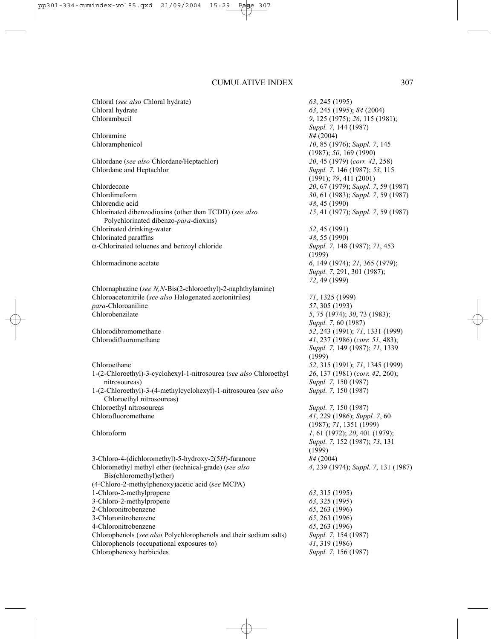| Chloral (see also Chloral hydrate)                                                            | 63, 245 (1995)                           |
|-----------------------------------------------------------------------------------------------|------------------------------------------|
| Chloral hydrate                                                                               | 63, 245 (1995); 84 (2004)                |
| Chlorambucil                                                                                  | 9, 125 (1975); 26, 115 (1981);           |
|                                                                                               | Suppl. 7, 144 (1987)                     |
| Chloramine                                                                                    | 84 (2004)                                |
| Chloramphenicol                                                                               | 10, 85 (1976); Suppl. 7, 145             |
|                                                                                               | (1987); 50, 169 (1990)                   |
| Chlordane (see also Chlordane/Heptachlor)                                                     | 20, 45 (1979) (corr. 42, 258)            |
| Chlordane and Heptachlor                                                                      | Suppl. 7, 146 (1987); 53, 115            |
|                                                                                               | (1991); 79, 411 (2001)                   |
| Chlordecone                                                                                   | 20, 67 (1979); Suppl. 7, 59 (1987)       |
| Chlordimeform                                                                                 | 30, 61 (1983); Suppl. 7, 59 (1987)       |
| Chlorendic acid                                                                               | 48, 45 (1990)                            |
| Chlorinated dibenzodioxins (other than TCDD) (see also                                        | 15, 41 (1977); Suppl. 7, 59 (1987)       |
| Polychlorinated dibenzo-para-dioxins)                                                         |                                          |
| Chlorinated drinking-water                                                                    | 52, 45 (1991)                            |
| Chlorinated paraffins                                                                         | 48, 55 (1990)                            |
| $\alpha$ -Chlorinated toluenes and benzoyl chloride                                           | Suppl. 7, 148 (1987); 71, 453            |
|                                                                                               | (1999)                                   |
| Chlormadinone acetate                                                                         | 6, 149 (1974); 21, 365 (1979);           |
|                                                                                               | Suppl. 7, 291, 301 (1987);               |
|                                                                                               | 72, 49 (1999)                            |
| Chlornaphazine (see N,N-Bis(2-chloroethyl)-2-naphthylamine)                                   |                                          |
| Chloroacetonitrile (see also Halogenated acetonitriles)                                       | 71, 1325 (1999)                          |
| para-Chloroaniline                                                                            | 57, 305 (1993)                           |
| Chlorobenzilate                                                                               | 5, 75 (1974); 30, 73 (1983);             |
|                                                                                               | Suppl. 7, 60 (1987)                      |
| Chlorodibromomethane                                                                          | 52, 243 (1991); 71, 1331 (1999)          |
| Chlorodifluoromethane                                                                         | 41, 237 (1986) (corr. 51, 483);          |
|                                                                                               | Suppl. 7, 149 (1987); 71, 1339<br>(1999) |
| Chloroethane                                                                                  | 52, 315 (1991); 71, 1345 (1999)          |
| 1-(2-Chloroethyl)-3-cyclohexyl-1-nitrosourea (see also Chloroethyl                            | 26, 137 (1981) (corr. 42, 260);          |
| nitrosoureas)                                                                                 | Suppl. 7, 150 (1987)                     |
| 1-(2-Chloroethyl)-3-(4-methylcyclohexyl)-1-nitrosourea (see also<br>Chloroethyl nitrosoureas) | Suppl. 7, 150 (1987)                     |
| Chloroethyl nitrosoureas                                                                      | Suppl. 7, 150 (1987)                     |
| Chlorofluoromethane                                                                           | 41, 229 (1986); Suppl. 7, 60             |
|                                                                                               | (1987); 71, 1351 (1999)                  |
| Chloroform                                                                                    | 1, 61 (1972); 20, 401 (1979);            |
|                                                                                               | Suppl. 7, 152 (1987); 73, 131            |
|                                                                                               | (1999)                                   |
| 3-Chloro-4-(dichloromethyl)-5-hydroxy-2(5H)-furanone                                          | 84 (2004)                                |
| Chloromethyl methyl ether (technical-grade) (see also                                         | 4, 239 (1974); Suppl. 7, 131 (1987)      |
| Bis(chloromethyl)ether)                                                                       |                                          |
| (4-Chloro-2-methylphenoxy) acetic acid (see MCPA)                                             |                                          |
| 1-Chloro-2-methylpropene                                                                      | 63, 315 (1995)                           |
| 3-Chloro-2-methylpropene                                                                      | 63, 325 (1995)                           |
| 2-Chloronitrobenzene                                                                          | 65, 263 (1996)                           |
| 3-Chloronitrobenzene                                                                          | 65, 263 (1996)                           |
| 4-Chloronitrobenzene                                                                          | 65, 263 (1996)                           |
| Chlorophenols (see also Polychlorophenols and their sodium salts)                             | Suppl. 7, 154 (1987)                     |
| Chlorophenols (occupational exposures to)                                                     | 41, 319 (1986)                           |
| Chlorophenoxy herbicides                                                                      | Suppl. 7, 156 (1987)                     |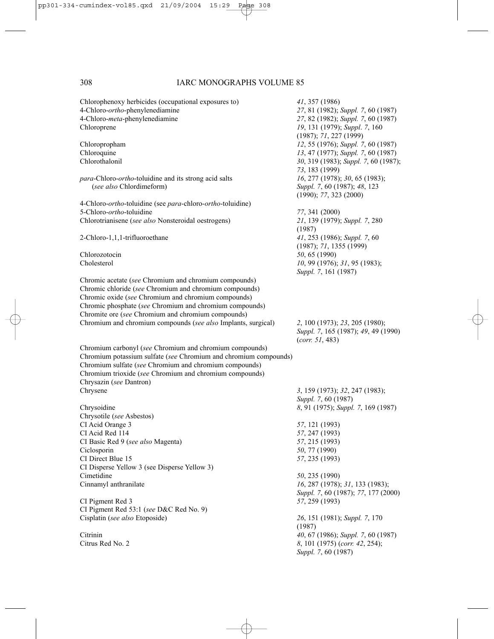| Chlorophenoxy herbicides (occupational exposures to)<br>4-Chloro-ortho-phenylenediamine<br>4-Chloro-meta-phenylenediamine<br>Chloroprene | 41, 357 (1986)<br>27, 81 (1982); Suppl. 7, 60 (1987)<br>27, 82 (1982); Suppl. 7, 60 (1987)<br>19, 131 (1979); Suppl. 7, 160<br>(1987); 71, 227 (1999) |
|------------------------------------------------------------------------------------------------------------------------------------------|-------------------------------------------------------------------------------------------------------------------------------------------------------|
| Chloropropham                                                                                                                            | 12, 55 (1976); Suppl. 7, 60 (1987)                                                                                                                    |
| Chloroquine                                                                                                                              | 13, 47 (1977); Suppl. 7, 60 (1987)                                                                                                                    |
| Chlorothalonil                                                                                                                           | 30, 319 (1983); Suppl. 7, 60 (1987);<br>73, 183 (1999)                                                                                                |
| para-Chloro-ortho-toluidine and its strong acid salts<br>(see also Chlordimeform)                                                        | 16, 277 (1978); 30, 65 (1983);<br>Suppl. 7, 60 (1987); 48, 123<br>(1990); 77, 323 (2000)                                                              |
| 4-Chloro- <i>ortho</i> -toluidine (see <i>para</i> -chloro- <i>ortho</i> -toluidine)                                                     |                                                                                                                                                       |
| 5-Chloro-ortho-toluidine                                                                                                                 | 77, 341 (2000)                                                                                                                                        |
| Chlorotrianisene (see also Nonsteroidal oestrogens)                                                                                      | 21, 139 (1979); Suppl. 7, 280<br>(1987)                                                                                                               |
| 2-Chloro-1,1,1-trifluoroethane                                                                                                           | 41, 253 (1986); Suppl. 7, 60<br>(1987); 71, 1355 (1999)                                                                                               |
| Chlorozotocin                                                                                                                            | 50, 65 (1990)                                                                                                                                         |
| Cholesterol                                                                                                                              | 10, 99 (1976); 31, 95 (1983);<br>Suppl. 7, 161 (1987)                                                                                                 |
| Chromic acetate (see Chromium and chromium compounds)                                                                                    |                                                                                                                                                       |
| Chromic chloride (see Chromium and chromium compounds)                                                                                   |                                                                                                                                                       |
| Chromic oxide (see Chromium and chromium compounds)                                                                                      |                                                                                                                                                       |
| Chromic phosphate (see Chromium and chromium compounds)                                                                                  |                                                                                                                                                       |
| Chromite ore (see Chromium and chromium compounds)                                                                                       |                                                                                                                                                       |
| Chromium and chromium compounds (see also Implants, surgical)                                                                            | 2, 100 (1973); 23, 205 (1980);<br>Suppl. 7, 165 (1987); 49, 49 (1990)<br>(corr. 51, 483)                                                              |
| Chromium carbonyl (see Chromium and chromium compounds)                                                                                  |                                                                                                                                                       |
| Chromium potassium sulfate (see Chromium and chromium compounds)                                                                         |                                                                                                                                                       |
| Chromium sulfate (see Chromium and chromium compounds)                                                                                   |                                                                                                                                                       |
| Chromium trioxide (see Chromium and chromium compounds)                                                                                  |                                                                                                                                                       |
| Chrysazin (see Dantron)                                                                                                                  |                                                                                                                                                       |
| Chrysene                                                                                                                                 | 3, 159 (1973); 32, 247 (1983);                                                                                                                        |
|                                                                                                                                          | Suppl. 7, 60 (1987)                                                                                                                                   |
| Chrysoidine                                                                                                                              | 8, 91 (1975); Suppl. 7, 169 (1987)                                                                                                                    |
| Chrysotile (see Asbestos)                                                                                                                |                                                                                                                                                       |
| CI Acid Orange 3                                                                                                                         | 57, 121 (1993)                                                                                                                                        |
| CI Acid Red 114                                                                                                                          | 57, 247 (1993)                                                                                                                                        |
| CI Basic Red 9 (see also Magenta)                                                                                                        | 57, 215 (1993)                                                                                                                                        |
| Ciclosporin                                                                                                                              | 50, 77 (1990)                                                                                                                                         |
| CI Direct Blue 15                                                                                                                        | 57, 235 (1993)                                                                                                                                        |
| CI Disperse Yellow 3 (see Disperse Yellow 3)                                                                                             | 50, 235 (1990)                                                                                                                                        |
| Cimetidine<br>Cinnamyl anthranilate                                                                                                      | 16, 287 (1978); 31, 133 (1983);                                                                                                                       |
|                                                                                                                                          | Suppl. 7, 60 (1987); 77, 177 (2000)                                                                                                                   |
| CI Pigment Red 3                                                                                                                         | 57, 259 (1993)                                                                                                                                        |
| CI Pigment Red 53:1 (see D&C Red No. 9)                                                                                                  |                                                                                                                                                       |
| Cisplatin (see also Etoposide)                                                                                                           | 26, 151 (1981); Suppl. 7, 170                                                                                                                         |
| Citrinin                                                                                                                                 | (1987)<br>40, 67 (1986); Suppl. 7, 60 (1987)                                                                                                          |
| Citrus Red No. 2                                                                                                                         | 8, 101 (1975) (corr. 42, 254);<br>Suppl. 7, 60 (1987)                                                                                                 |
|                                                                                                                                          |                                                                                                                                                       |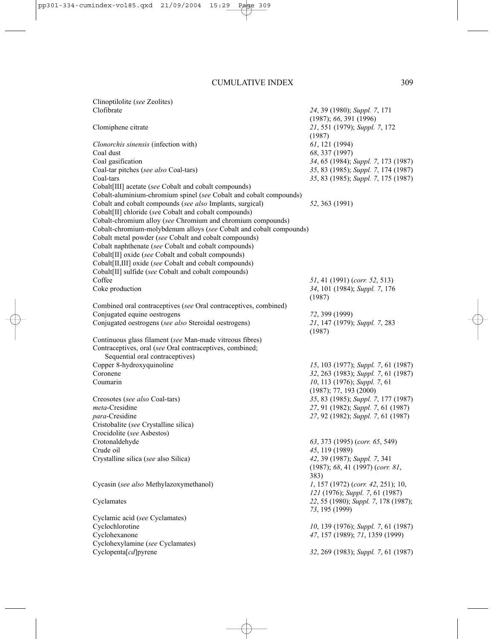Clinoptilolite (*see* Zeolites) Clofibrate *24*, 39 (1980); *Suppl. 7*, 171

(1987); *66*, 391 (1996) Clomiphene citrate *21*, 551 (1979); *Suppl. 7*, 172 (1987) *Clonorchis sinensis* (infection with) *61*, 121 (1994) Coal dust *68*, 337 (1997) Coal gasification *34*, 65 (1984); *Suppl. 7*, 173 (1987) Coal-tar pitches (*see also* Coal-tars) *35*, 83 (1985); *Suppl. 7*, 174 (1987) Coal-tars *35*, 83 (1985); *Suppl. 7*, 175 (1987) Cobalt[III] acetate (*see* Cobalt and cobalt compounds) Cobalt-aluminium-chromium spinel (*see* Cobalt and cobalt compounds) Cobalt and cobalt compounds (*see also* Implants, surgical) *52*, 363 (1991) Cobalt[II] chloride (*se*e Cobalt and cobalt compounds) Cobalt-chromium alloy (*see* Chromium and chromium compounds) Cobalt-chromium-molybdenum alloys (*see* Cobalt and cobalt compounds) Cobalt metal powder (*see* Cobalt and cobalt compounds) Cobalt naphthenate (*see* Cobalt and cobalt compounds) Cobalt[II] oxide (*see* Cobalt and cobalt compounds) Cobalt[II,III] oxide (*see* Cobalt and cobalt compounds) Cobalt[II] sulfide (*see* Cobalt and cobalt compounds) Coffee *51*, 41 (1991) (*corr. 52*, 513) Coke production *34*, 101 (1984); *Suppl. 7*, 176 (1987) Combined oral contraceptives (*see* Oral contraceptives, combined) Conjugated equine oestrogens *72*, 399 (1999)<br>
Conjugated oestrogens (*see also* Steroidal oestrogens) *72*, 147 (1979); *Suppl.* 7, 283 Conjugated oestrogens (*see also* Steroidal oestrogens) (1987) Continuous glass filament (*see* Man-made vitreous fibres) Contraceptives, oral (*see* Oral contraceptives, combined; Sequential oral contraceptives) Copper 8-hydroxyquinoline *15*, 103 (1977); *Suppl. 7*, 61 (1987) Coronene *32*, 263 (1983); *Suppl. 7*, 61 (1987) Coumarin *10*, 113 (1976); *Suppl. 7*, 61 (1987); 77, 193 (2000) Creosotes (*see also* Coal-tars) *35*, 83 (1985); *Suppl. 7*, 177 (1987) *meta*-Cresidine *27*, 91 (1982); *Suppl. 7*, 61 (1987) *para*-Cresidine *27*, 92 (1982); *Suppl. 7*, 61 (1987) Cristobalite (*see* Crystalline silica) Crocidolite (*see* Asbestos) Crotonaldehyde *63*, 373 (1995) (*corr. 65*, 549) Crude oil *45*, 119 (1989) Crystalline silica (*see* also Silica) *42*, 39 (1987); *Suppl. 7*, 341 (1987); *68*, 41 (1997) (*corr. 81*, 383) Cycasin (*see also* Methylazoxymethanol) *1*, 157 (1972) (*corr. 42*, 251); 10, *121* (1976); *Suppl. 7*, 61 (1987) Cyclamates *22*, 55 (1980); *Suppl. 7*, 178 (1987); *73*, 195 (1999) Cyclamic acid (*see* Cyclamates) Cyclochlorotine *10*, 139 (1976); *Suppl. 7*, 61 (1987) Cyclohexanone *47*, 157 (1989); *71*, 1359 (1999) Cyclohexylamine (*see* Cyclamates) Cyclopenta[*cd*]pyrene *32*, 269 (1983); *Suppl. 7*, 61 (1987)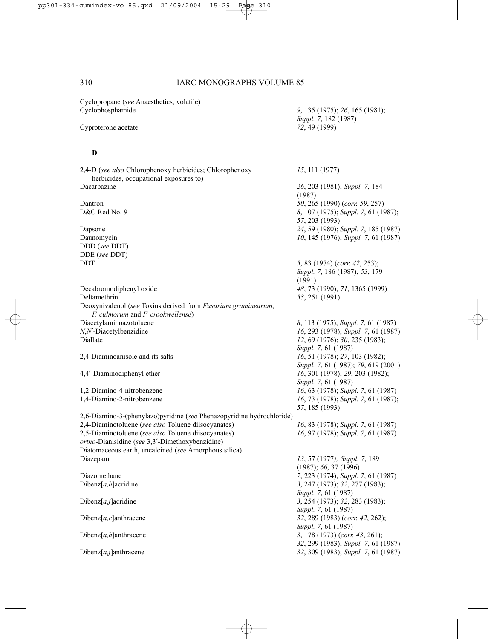*Suppl. 7*, 182 (1987)

Cyclopropane (*see* Anaesthetics, volatile) Cyclophosphamide *9*, 135 (1975); *26*, 165 (1981);

Cyproterone acetate *72*, 49 (1999)

### **D**

2,4-D (*see also* Chlorophenoxy herbicides; Chlorophenoxy *15*, 111 (1977) herbicides, occupational exposures to) Dacarbazine *26*, 203 (1981); *Suppl. 7*, 184 (1987) Dantron *50*, 265 (1990) (*corr. 59*, 257) D&C Red No. 9 *8*, 107 (1975); *Suppl. 7*, 61 (1987); *57*, 203 (1993) Dapsone *24*, 59 (1980); *Suppl. 7*, 185 (1987) Daunomycin *10*, 145 (1976); *Suppl. 7*, 61 (1987) DDD (*see* DDT) DDE (*see* DDT) DDT *5*, 83 (1974) (*corr. 42*, 253); *Suppl. 7*, 186 (1987); *53*, 179 (1991) Decabromodiphenyl oxide *48*, 73 (1990); *71*, 1365 (1999) Deltamethrin *53*, 251 (1991) Deoxynivalenol (*see* Toxins derived from *Fusarium graminearum*, *F. culmorum* and *F. crookwellense*) Diacetylaminoazotoluene *8*, 113 (1975); *Suppl. 7*, 61 (1987) *N*,*N*′-Diacetylbenzidine *16*, 293 (1978); *Suppl. 7*, 61 (1987) Diallate *12*, 69 (1976); *30*, 235 (1983); *Suppl. 7*, 61 (1987) 2,4-Diaminoanisole and its salts *16*, 51 (1978); *27*, 103 (1982); *Suppl. 7*, 61 (1987); *79*, 619 (2001) 4,4′-Diaminodiphenyl ether *16*, 301 (1978); *29*, 203 (1982); *Suppl. 7*, 61 (1987) 1,2-Diamino-4-nitrobenzene *16*, 63 (1978); *Suppl. 7*, 61 (1987) 16, 73 (1978); *Suppl.* 7, 61 (1987); *57*, 185 (1993) 2,6-Diamino-3-(phenylazo)pyridine (*see* Phenazopyridine hydrochloride) 2,4-Diaminotoluene (*see also* Toluene diisocyanates) *16*, 83 (1978); *Suppl. 7*, 61 (1987) 2,5-Diaminotoluene (*see also* Toluene diisocyanates) *16*, 97 (1978); *Suppl. 7*, 61 (1987) *ortho*-Dianisidine (*see* 3,3′-Dimethoxybenzidine) Diatomaceous earth, uncalcined (*see* Amorphous silica) Diazepam *13*, 57 (1977*); Suppl. 7*, 189 (1987); *66*, 37 (1996) Diazomethane *7*, 223 (1974); *Suppl. 7*, 61 (1987) Dibenz[*a,h*]acridine *3*, 247 (1973); *32*, 277 (1983); *Suppl. 7*, 61 (1987) Dibenz[*a,j*]acridine *3*, 254 (1973); *32*, 283 (1983); *Suppl. 7*, 61 (1987) Dibenz[*a,c*]anthracene *32*, 289 (1983) (*corr. 42*, 262); *Suppl. 7*, 61 (1987) Dibenz[*a,h*]anthracene *3*, 178 (1973) (*corr. 43*, 261); *32*, 299 (1983); *Suppl. 7*, 61 (1987) Dibenz[*a,j*]anthracene *32*, 309 (1983); *Suppl. 7*, 61 (1987)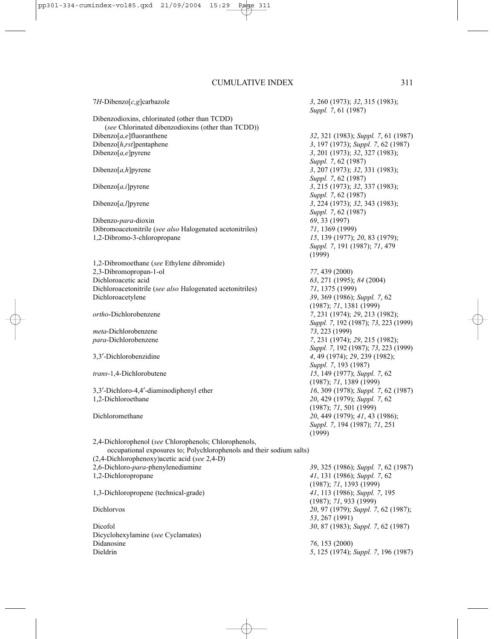7*H*-Dibenzo[*c,g*]carbazole *3*, 260 (1973); *32*, 315 (1983); *Suppl. 7*, 61 (1987) Dibenzodioxins, chlorinated (other than TCDD) (*see* Chlorinated dibenzodioxins (other than TCDD)) Dibenzo[*a,e*]fluoranthene *32*, 321 (1983); *Suppl. 7*, 61 (1987) Dibenzo[*h*,*rst*]pentaphene *3*, 197 (1973); *Suppl.* 7, 62 (1987)<br>Dibenzo[*a*,*e*]pyrene *3*, 201 (1973); 32, 327 (1983); Dibenzo[*a,e*]pyrene *3*, 201 (1973); *32*, 327 (1983); *Suppl. 7*, 62 (1987) Dibenzo[*a,h*]pyrene *3*, 207 (1973); *32*, 331 (1983); *Suppl. 7*, 62 (1987) Dibenzo[*a,i*]pyrene *3*, 215 (1973); *32*, 337 (1983); *Suppl. 7*, 62 (1987) Dibenzo[*a,l*]pyrene *3*, 224 (1973); *32*, 343 (1983); *Suppl. 7*, 62 (1987) Dibenzo-*para*-dioxin *69*, 33 (1997) Dibromoacetonitrile (*see also* Halogenated acetonitriles) *71*, 1369 (1999) 1,2-Dibromo-3-chloropropane *15*, 139 (1977); *20*, 83 (1979); *Suppl. 7*, 191 (1987); *71*, 479 (1999) 1,2-Dibromoethane (*see* Ethylene dibromide) 2,3-Dibromopropan-1-ol *77*, 439 (2000) Dichloroacetic acid *63*, 271 (1995); *84* (2004) Dichloroacetonitrile (*see also* Halogenated acetonitriles) *71*, 1375 (1999) Dichloroacetylene *39*, 369 (1986); *Suppl. 7*, 62 (1987); *71*, 1381 (1999) *ortho*-Dichlorobenzene *7*, 231 (1974); *29*, 213 (1982); *Suppl. 7*, 192 (1987); *73*, 223 (1999) *meta*-Dichlorobenzene *73*, 223 (1999) *para*-Dichlorobenzene *7*, 231 (1974); *29*, 215 (1982); *Suppl. 7*, 192 (1987); *73*, 223 (1999) 3,3′-Dichlorobenzidine *4*, 49 (1974); *29*, 239 (1982); *Suppl. 7*, 193 (1987) *trans*-1,4-Dichlorobutene *15*, 149 (1977); *Suppl. 7*, 62 (1987); *71*, 1389 (1999) 3,3′-Dichloro-4,4′-diaminodiphenyl ether *16*, 309 (1978); *Suppl. 7*, 62 (1987) 1,2-Dichloroethane *20*, 429 (1979); *Suppl. 7*, 62 (1987); *71*, 501 (1999) Dichloromethane *20*, 449 (1979); *41*, 43 (1986); *Suppl. 7*, 194 (1987); *71*, 251 (1999) 2,4-Dichlorophenol (*see* Chlorophenols; Chlorophenols, occupational exposures to; Polychlorophenols and their sodium salts) (2,4-Dichlorophenoxy)acetic acid (*see* 2,4-D) 2,6-Dichloro-*para*-phenylenediamine *39*, 325 (1986); *Suppl. 7*, 62 (1987) 1,2-Dichloropropane *41*, 131 (1986); *Suppl. 7*, 62 (1987); *71*, 1393 (1999) 1,3-Dichloropropene (technical-grade) *41*, 113 (1986); *Suppl. 7*, 195 (1987); *71*, 933 (1999) Dichlorvos *20*, 97 (1979); *Suppl. 7*, 62 (1987); *53*, 267 (1991) Dicofol *30*, 87 (1983); *Suppl. 7*, 62 (1987) Dicyclohexylamine (*see* Cyclamates) Didanosine *76*, 153 (2000) Dieldrin *5*, 125 (1974); *Suppl. 7*, 196 (1987)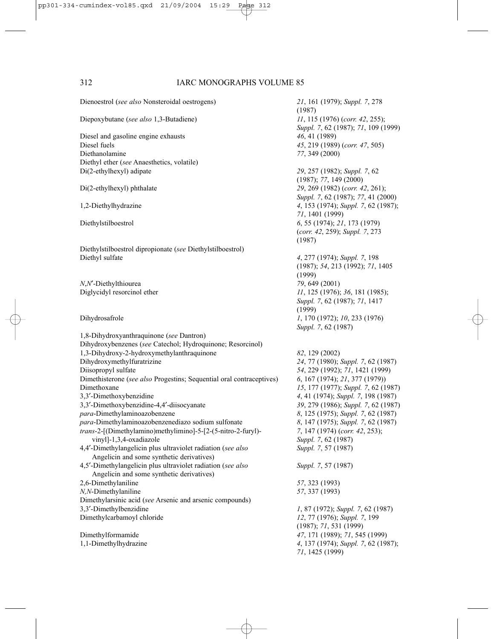Dienoestrol (*see also* Nonsteroidal oestrogens) *21*, 161 (1979); *Suppl. 7*, 278 Diepoxybutane (*see also* 1,3-Butadiene) *11*, 115 (1976) (*corr. 42*, 255); Diesel and gasoline engine exhausts *46*, 41 (1989)<br>Diesel fuels *45*, 219 (1989) Diethanolamine *77*, 349 (2000) Diethyl ether (*see* Anaesthetics, volatile) Di(2-ethylhexyl) adipate *29*, 257 (1982); *Suppl. 7*, 62 Di(2-ethylhexyl) phthalate *29*, 269 (1982) (*corr. 42*, 261); 1,2-Diethylhydrazine *4*, 153 (1974); *Suppl. 7*, 62 (1987); Diethylstilboestrol *6*, 55 (1974); *21*, 173 (1979) Diethylstilboestrol dipropionate (*see* Diethylstilboestrol) Diethyl sulfate *4*, 277 (1974); *Suppl. 7*, 198 *N*,*N*′-Diethylthiourea *79*, 649 (2001) Diglycidyl resorcinol ether *11*, 125 (1976); *36*, 181 (1985); Dihydrosafrole *1*, 170 (1972); *10*, 233 (1976) 1,8-Dihydroxyanthraquinone (*see* Dantron) Dihydroxybenzenes (*see* Catechol; Hydroquinone; Resorcinol) 1,3-Dihydroxy-2-hydroxymethylanthraquinone *82*, 129 (2002) Dihydroxymethylfuratrizine *24*, 77 (1980); *Suppl. 7*, 62 (1987) Diisopropyl sulfate *54*, 229 (1992); *71*, 1421 (1999) Dimethisterone (*see also* Progestins; Sequential oral contraceptives) *6*, 167 (1974); *21*, 377 (1979)) Dimethoxane *15*, 177 (1977); *Suppl. 7*, 62 (1987) 3,3′-Dimethoxybenzidine *4*, 41 (1974); *Suppl. 7*, 198 (1987) 3,3′-Dimethoxybenzidine-4,4′-diisocyanate *39*, 279 (1986); *Suppl. 7*, 62 (1987) *para*-Dimethylaminoazobenzene *8*, 125 (1975); *Suppl. 7*, 62 (1987) *para*-Dimethylaminoazobenzenediazo sodium sulfonate *8*, 147 (1975); *Suppl. 7*, 62 (1987) *trans*-2-[(Dimethylamino)methylimino]-5-[2-(5-nitro-2-furyl)- *7*, 147 (1974) (*corr. 42*, 253); vinyl]-1,3,4-oxadiazole *Suppl. 7*, 62 (1987) 4,4′-Dimethylangelicin plus ultraviolet radiation (*see also Suppl. 7*, 57 (1987) Angelicin and some synthetic derivatives) 4,5′-Dimethylangelicin plus ultraviolet radiation (*see also Suppl. 7*, 57 (1987) Angelicin and some synthetic derivatives) 2,6-Dimethylaniline *57*, 323 (1993) *N,N*-Dimethylaniline *57*, 337 (1993) Dimethylarsinic acid (*see* Arsenic and arsenic compounds) 3,3′-Dimethylbenzidine *1*, 87 (1972); *Suppl. 7*, 62 (1987) Dimethylcarbamoyl chloride *12*, 77 (1976); *Suppl. 7*, 199 Dimethylformamide *47*, 171 (1989); *71*, 545 (1999)

(1987) *Suppl. 7*, 62 (1987); *71*, 109 (1999) Diesel fuels *45*, 219 (1989) (*corr. 47*, 505) (1987); *77*, 149 (2000) *Suppl. 7*, 62 (1987); *77*, 41 (2000) *71*, 1401 (1999) (*corr. 42*, 259); *Suppl. 7*, 273 (1987) (1987); *54*, 213 (1992); *71*, 1405 (1999) *Suppl. 7*, 62 (1987); *71*, 1417 (1999) *Suppl. 7*, 62 (1987) (1987); *71*, 531 (1999) 1,1-Dimethylhydrazine *4*, 137 (1974); *Suppl. 7*, 62 (1987); *71*, 1425 (1999)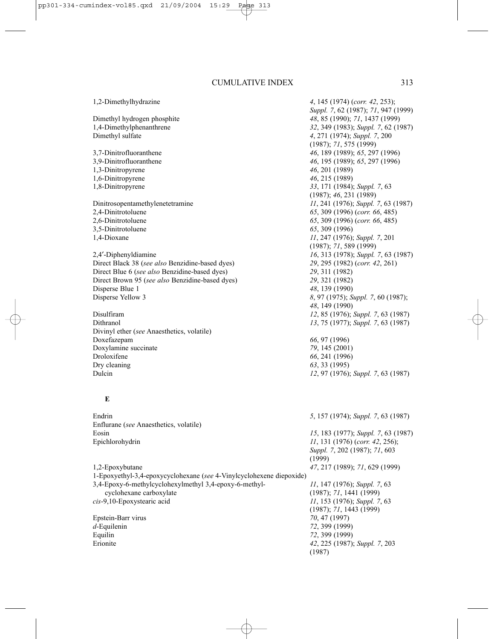1,2-Dimethylhydrazine *4*, 145 (1974) (*corr. 42*, 253); Dimethyl hydrogen phosphite *48*, 85 (1990); *71*, 1437 (1999) Dimethyl sulfate *4*, 271 (1974); *Suppl. 7*, 200 3,7-Dinitrofluoranthene *46*, 189 (1989); *65*, 297 (1996) 3,9-Dinitrofluoranthene *46*, 195 (1989); *65*, 297 (1996) 1,3-Dinitropyrene *46*, 201 (1989) 1,6-Dinitropyrene *46*, 215 (1989) 1,8-Dinitropyrene *33*, 171 (1984); *Suppl. 7*, 63 Dinitrosopentamethylenetetramine *11*, 241 (1976); *Suppl. 7*, 63 (1987) 2,4-Dinitrotoluene *65*, 309 (1996) (*corr. 66*, 485) 3,5-Dinitrotoluene *65*, 309 (1996) 1,4-Dioxane *11*, 247 (1976); *Suppl. 7*, 201 2,4′-Diphenyldiamine *16*, 313 (1978); *Suppl. 7*, 63 (1987) Direct Black 38 (*see also* Benzidine-based dyes) *29*, 295 (1982) (*corr. 42*, 261) Direct Blue 6 (*see also* Benzidine-based dyes) *29*, 311 (1982) Direct Brown 95 (*see also* Benzidine-based dyes) *29*, 321 (1982) Disperse Blue 1 *48*, 139 (1990)<br>Disperse Yellow 3 *8*, 97 (1975): *S* Disulfiram *12*, 85 (1976); *Suppl. 7*, 63 (1987) Divinyl ether (*see* Anaesthetics, volatile) Doxefazepam *66*, 97 (1996) Doxylamine succinate *79*, 145 (2001) Droloxifene *66*, 241 (1996) Dry cleaning *63*, 33 (1995) Dulcin *12*, 97 (1976); *Suppl. 7*, 63 (1987) **E**

Endrin *5*, 157 (1974); *Suppl. 7*, 63 (1987) Enflurane (*see* Anaesthetics, volatile) Eosin *15*, 183 (1977); *Suppl. 7*, 63 (1987) Epichlorohydrin *11*, 131 (1976) (*corr. 42*, 256); *Suppl. 7*, 202 (1987); *71*, 603 (1999) 1,2-Epoxybutane *47*, 217 (1989); *71*, 629 (1999) 1-Epoxyethyl-3,4-epoxycyclohexane (*see* 4-Vinylcyclohexene diepoxide) 3,4-Epoxy-6-methylcyclohexylmethyl 3,4-epoxy-6-methyl- *11*, 147 (1976); *Suppl. 7*, 63 cyclohexane carboxylate (1987); *71*, 1441 (1999) *cis*-9,10-Epoxystearic acid *11*, 153 (1976); *Suppl. 7*, 63 (1987); *71*, 1443 (1999) Epstein-Barr virus *70*, 47 (1997) *d*-Equilenin *72*, 399 (1999) Equilin *72*, 399 (1999) Erionite *42*, 225 (1987); *Suppl. 7*, 203 (1987)

*Suppl. 7*, 62 (1987); *71*, 947 (1999) 1,4-Dimethylphenanthrene *32*, 349 (1983); *Suppl. 7*, 62 (1987) (1987); *71*, 575 (1999) (1987); *46*, 231 (1989) 2,6-Dinitrotoluene *65*, 309 (1996) (*corr. 66*, 485) (1987); *71*, 589 (1999) Disperse Yellow 3 *8*, 97 (1975); *Suppl. 7*, 60 (1987); *48*, 149 (1990) Dithranol *13*, 75 (1977); *Suppl. 7*, 63 (1987)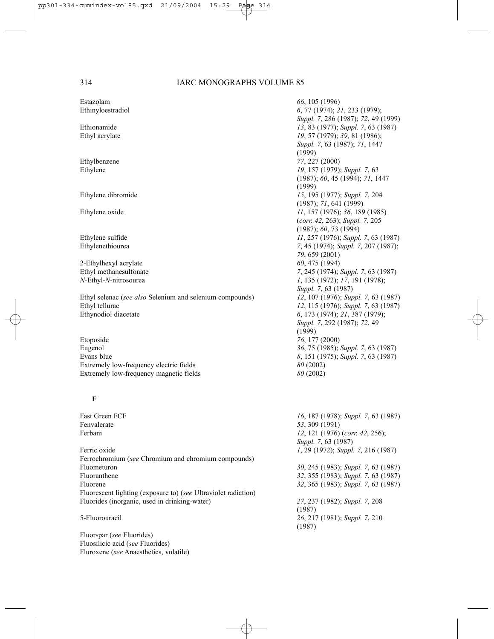Estazolam *66*, 105 (1996)

2-Ethylhexyl acrylate *60*, 475 (1994)

Ethyl selenac (*see also* Selenium and selenium compounds) *12*, 107 (1976); *Suppl. 7*, 63 (1987) Ethyl tellurac *12*, 115 (1976); *Suppl. 7*, 63 (1987) Ethynodiol diacetate *6*, 173 (1974); *21*, 387 (1979);

Etoposide *76*, 177 (2000) Eugenol *36*, 75 (1985); *Suppl. 7*, 63 (1987) Evans blue *8*, 151 (1975); *Suppl. 7*, 63 (1987) Extremely low-frequency electric fields *80* (2002) Extremely low-frequency magnetic fields *80* (2002)

#### **F**

Fast Green FCF *16*, 187 (1978); *Suppl. 7*, 63 (1987) Ferbam *12*, 121 (1976) (*corr. 42*, 256); Ferric oxide *1*, 29 (1972); *Suppl. 7*, 216 (1987) Ferrochromium (*see* Chromium and chromium compounds) Fluometuron *30*, 245 (1983); *Suppl. 7*, 63 (1987) Fluoranthene *32*, 355 (1983); *Suppl. 7*, 63 (1987) Fluorene *32*, 365 (1983); *Suppl. 7*, 63 (1987) Fluorescent lighting (exposure to) (*see* Ultraviolet radiation) Fluorides (inorganic, used in drinking-water) *27*, 237 (1982); *Suppl. 7*, 208

Fluorspar (*see* Fluorides) Fluosilicic acid (*see* Fluorides) Fluroxene (*see* Anaesthetics, volatile)

Ethinyloestradiol *6*, 77 (1974); *21*, 233 (1979); *Suppl. 7*, 286 (1987); *72*, 49 (1999) Ethionamide *13*, 83 (1977); *Suppl. 7*, 63 (1987) Ethyl acrylate *19*, 57 (1979); *39*, 81 (1986); *Suppl. 7*, 63 (1987); *71*, 1447  $(1999)$ Ethylbenzene *77*, 227 (2000) Ethylene *19*, 157 (1979); *Suppl. 7*, 63 (1987); *60*, 45 (1994); *71*, 1447 (1999) Ethylene dibromide *15*, 195 (1977); *Suppl. 7*, 204 (1987); *71*, 641 (1999) Ethylene oxide *11*, 157 (1976); *36*, 189 (1985) (*corr. 42*, 263); *Suppl. 7*, 205 (1987); *60*, 73 (1994) Ethylene sulfide *11*, 257 (1976); *Suppl. 7*, 63 (1987) Ethylenethiourea *7*, 45 (1974); *Suppl. 7*, 207 (1987); *79*, 659 (2001) Ethyl methanesulfonate *7*, 245 (1974); *Suppl. 7*, 63 (1987) *N*-Ethyl-*N*-nitrosourea *1*, 135 (1972); *17*, 191 (1978); *Suppl. 7*, 63 (1987) *Suppl. 7*, 292 (1987); *72*, 49 (1999)

Fenvalerate *53*, 309 (1991) *Suppl. 7*, 63 (1987) (1987) 5-Fluorouracil *26*, 217 (1981); *Suppl. 7*, 210 (1987)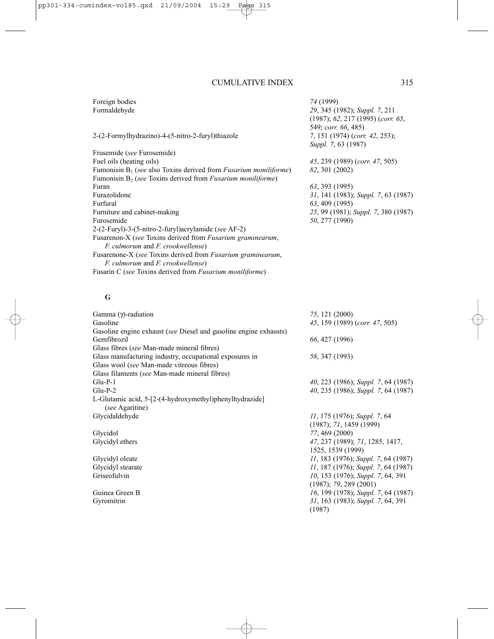Foreign bodies *74* (1999)

### 2-(2-Formylhydrazino)-4-(5-nitro-2-furyl)thiazole *7*, 151 (1974) (*corr. 42*, 253);

Frusemide (*see* Furosemide) Fuel oils (heating oils) *45*, 239 (1989) (*corr. 47*, 505) Fumonisin B1 (*see* also Toxins derived from *Fusarium moniliforme*) *82*, 301 (2002) Fumonisin B<sub>2</sub> (*see* Toxins derived from *Fusarium moniliforme*)<br>Furan Furan *63*, 393 (1995) Furfural *63*, 409 (1995) Furniture and cabinet-making *25*, 99 (1981); *Suppl. 7*, 380 (1987) Furosemide *50*, 277 (1990) 2-(2-Furyl)-3-(5-nitro-2-furyl)acrylamide (*see* AF-2) Fusarenon-X (*see* Toxins derived from *Fusarium graminearum*, *F. culmorum* and *F. crookwellense*) Fusarenone-X (*see* Toxins derived from *Fusarium graminearum*, *F. culmorum* and *F. crookwellense*) Fusarin C (*see* Toxins derived from *Fusarium moniliforme*)

# Formaldehyde *29*, 345 (1982); *Suppl. 7*, 211 (1987); *62*, 217 (1995) (*corr. 65*, 549; *corr. 66*, 485) *Suppl. 7*, 63 (1987)

Furazolidone *31*, 141 (1983); *Suppl. 7*, 63 (1987)

### **G**

| 75, 121 (2000)                              |
|---------------------------------------------|
| 45, 159 (1989) (corr. 47, 505)              |
|                                             |
| 66, 427 (1996)                              |
|                                             |
| 58, 347 (1993)                              |
|                                             |
|                                             |
| $40, 223$ (1986); Suppl. 7, 64 (1987)       |
| 40, 235 (1986); Suppl. 7, 64 (1987)         |
|                                             |
| 11, 175 (1976); Suppl. 7, 64                |
| $(1987)$ ; 71, 1459 (1999)                  |
| 77, 469 (2000)                              |
| 47, 237 (1989); 71, 1285, 1417,             |
| 1525, 1539 (1999)                           |
| <i>II</i> , 183 (1976); Suppl. 7, 64 (1987) |
| 11, 187 (1976); Suppl. 7, 64 (1987)         |
| 10, 153 (1976); Suppl. 7, 64, 391           |
| $(1987)$ ; 79, 289 (2001)                   |
| 16, 199 (1978); Suppl. 7, 64 (1987)         |
| 31, 163 (1983); Suppl. 7, 64, 391           |
| (1987)                                      |
|                                             |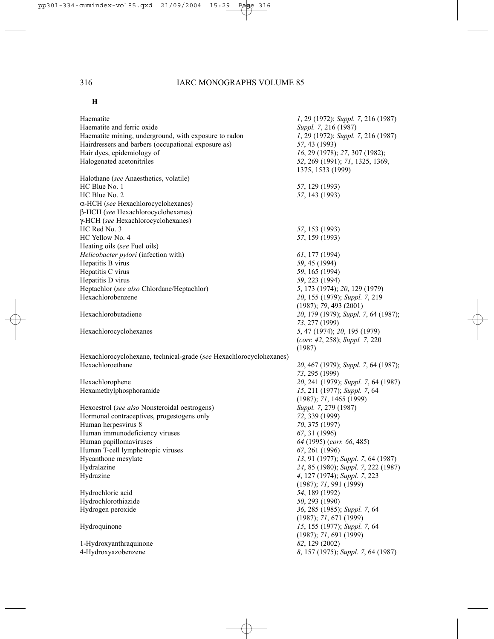## **H**

| Haematite                                                           | 1, 29 (1972); Suppl. 7, 216 (1987)   |
|---------------------------------------------------------------------|--------------------------------------|
| Haematite and ferric oxide                                          | Suppl. 7, 216 (1987)                 |
| Haematite mining, underground, with exposure to radon               | 1, 29 (1972); Suppl. 7, 216 (1987)   |
| Hairdressers and barbers (occupational exposure as)                 | 57, 43 (1993)                        |
| Hair dyes, epidemiology of                                          | 16, 29 (1978); 27, 307 (1982);       |
| Halogenated acetonitriles                                           | 52, 269 (1991); 71, 1325, 1369,      |
|                                                                     | 1375, 1533 (1999)                    |
| Halothane (see Anaesthetics, volatile)                              |                                      |
| HC Blue No. 1                                                       | 57, 129 (1993)                       |
| HC Blue No. 2                                                       | 57, 143 (1993)                       |
| $\alpha$ -HCH (see Hexachlorocyclohexanes)                          |                                      |
| β-HCH (see Hexachlorocyclohexanes)                                  |                                      |
| γ-HCH (see Hexachlorocyclohexanes)                                  |                                      |
| HC Red No. 3                                                        | 57, 153 (1993)                       |
| HC Yellow No. 4                                                     | 57, 159 (1993)                       |
| Heating oils (see Fuel oils)                                        |                                      |
| Helicobacter pylori (infection with)                                | $61, 177$ (1994)                     |
| Hepatitis B virus                                                   | 59, 45 (1994)                        |
| Hepatitis C virus                                                   | 59, 165 (1994)                       |
| Hepatitis D virus                                                   | 59, 223 (1994)                       |
| Heptachlor (see also Chlordane/Heptachlor)                          | 5, 173 (1974); 20, 129 (1979)        |
| Hexachlorobenzene                                                   | 20, 155 (1979); Suppl. 7, 219        |
|                                                                     | (1987); 79, 493 (2001)               |
| Hexachlorobutadiene                                                 | 20, 179 (1979); Suppl. 7, 64 (1987); |
|                                                                     | 73, 277 (1999)                       |
| Hexachlorocyclohexanes                                              | 5, 47 (1974); 20, 195 (1979)         |
|                                                                     | (corr. 42, 258); Suppl. 7, 220       |
|                                                                     | (1987)                               |
| Hexachlorocyclohexane, technical-grade (see Hexachlorocyclohexanes) |                                      |
| Hexachloroethane                                                    | 20, 467 (1979); Suppl. 7, 64 (1987); |
|                                                                     | 73, 295 (1999)                       |
| Hexachlorophene                                                     | 20, 241 (1979); Suppl. 7, 64 (1987)  |
| Hexamethylphosphoramide                                             | 15, 211 (1977); Suppl. 7, 64         |
|                                                                     | (1987); 71, 1465 (1999)              |
| Hexoestrol (see also Nonsteroidal oestrogens)                       | Suppl. 7, 279 (1987)                 |
| Hormonal contraceptives, progestogens only                          | 72, 339 (1999)                       |
| Human herpesvirus 8                                                 | 70, 375 (1997)                       |
| Human immunodeficiency viruses                                      | 67, 31 (1996)                        |
| Human papillomaviruses                                              | 64 (1995) (corr. 66, 485)            |
| Human T-cell lymphotropic viruses                                   | 67, 261 (1996)                       |
| Hycanthone mesylate                                                 | 13, 91 (1977); Suppl. 7, 64 (1987)   |
| Hydralazine                                                         | 24, 85 (1980); Suppl. 7, 222 (1987)  |
| Hydrazine                                                           | 4, 127 (1974); Suppl. 7, 223         |
|                                                                     |                                      |
|                                                                     | (1987); 71, 991 (1999)               |
| Hydrochloric acid                                                   | 54, 189 (1992)                       |
| Hydrochlorothiazide                                                 | 50, 293 (1990)                       |
| Hydrogen peroxide                                                   | 36, 285 (1985); Suppl. 7, 64         |
|                                                                     | (1987); 71, 671 (1999)               |
| Hydroquinone                                                        | 15, 155 (1977); Suppl. 7, 64         |
|                                                                     | (1987); 71, 691 (1999)               |
| 1-Hydroxyanthraquinone                                              | 82, 129 (2002)                       |
| 4-Hydroxyazobenzene                                                 | 8, 157 (1975); Suppl. 7, 64 (1987)   |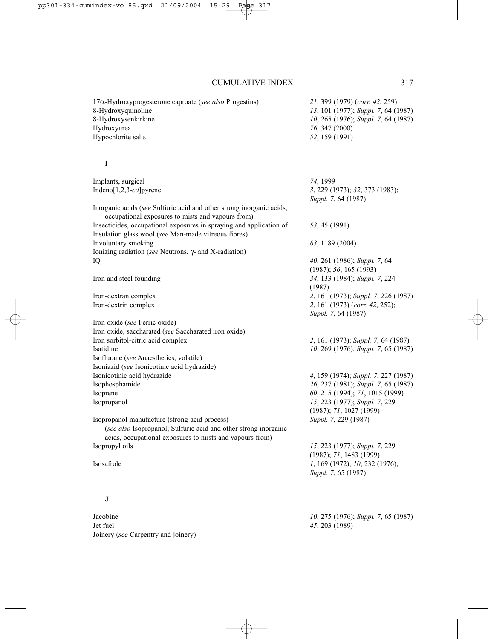17α-Hydroxyprogesterone caproate (*see also* Progestins) *21*, 399 (1979) (*corr. 42*, 259) 8-Hydroxyquinoline *13*, 101 (1977); *Suppl. 7*, 64 (1987) 8-Hydroxysenkirkine *10*, 265 (1976); *Suppl. 7*, 64 (1987) Hydroxyurea *76*, 347 (2000) Hypochlorite salts *52*, 159 (1991) **I** Implants, surgical *74*, 1999 Indeno[1,2,3-*cd*]pyrene *3*, 229 (1973); *32*, 373 (1983); *Suppl. 7*, 64 (1987) Inorganic acids (*see* Sulfuric acid and other strong inorganic acids, occupational exposures to mists and vapours from) Insecticides, occupational exposures in spraying and application of *53*, 45 (1991) Insulation glass wool (*see* Man-made vitreous fibres) Involuntary smoking *83*, 1189 (2004) Ionizing radiation (*see* Neutrons, γ- and X-radiation) IQ *40*, 261 (1986); *Suppl. 7*, 64 (1987); *56*, 165 (1993) Iron and steel founding *34*, 133 (1984); *Suppl. 7*, 224 (1987) Iron-dextran complex *2*, 161 (1973); *Suppl. 7*, 226 (1987) Iron-dextrin complex *2*, 161 (1973) (*corr. 42*, 252); *Suppl. 7*, 64 (1987) Iron oxide (*see* Ferric oxide) Iron oxide, saccharated (*see* Saccharated iron oxide) Iron sorbitol-citric acid complex *2*, 161 (1973); *Suppl. 7*, 64 (1987) Isatidine *10*, 269 (1976); *Suppl. 7*, 65 (1987) Isoflurane (*see* Anaesthetics, volatile) Isoniazid (*see* Isonicotinic acid hydrazide) Isonicotinic acid hydrazide *4*, 159 (1974); *Suppl. 7*, 227 (1987) Isophosphamide *26*, 237 (1981); *Suppl. 7*, 65 (1987) Isoprene *60*, 215 (1994); *71*, 1015 (1999) Isopropanol *15*, 223 (1977); *Suppl. 7*, 229 (1987); *71*, 1027 (1999) Isopropanol manufacture (strong-acid process) *Suppl. 7*, 229 (1987) (*see also* Isopropanol; Sulfuric acid and other strong inorganic acids, occupational exposures to mists and vapours from) Isopropyl oils *15*, 223 (1977); *Suppl. 7*, 229 (1987); *71*, 1483 (1999) Isosafrole *1*, 169 (1972); *10*, 232 (1976); *Suppl. 7*, 65 (1987) **J** Jacobine *10*, 275 (1976); *Suppl. 7*, 65 (1987) Jet fuel *45*, 203 (1989) Joinery (*see* Carpentry and joinery)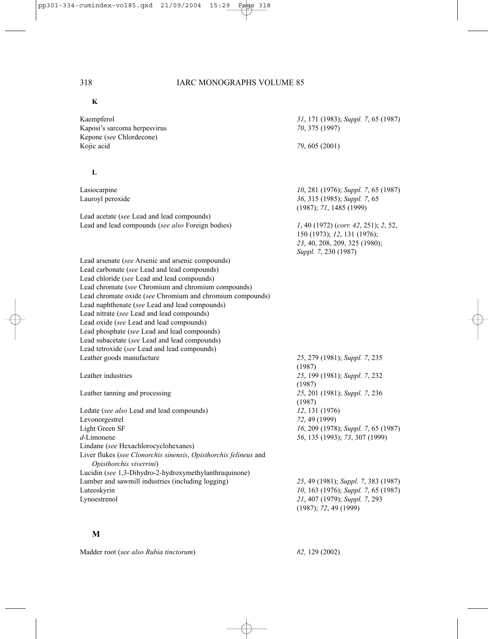#### **K**

Kaempferol *31*, 171 (1983); *Suppl. 7*, 65 (1987) Kaposi's sarcoma herpesvirus *70*, 375 (1997) Kepone (*see* Chlordecone) Kojic acid *79*, 605 (2001)

#### **L**

Lead acetate (*see* Lead and lead compounds) Lead and lead compounds (*see also* Foreign bodies) *1*, 40 (1972) (*corr. 42*, 251); *2*, 52,

Lead arsenate (*see* Arsenic and arsenic compounds) Lead carbonate (*see* Lead and lead compounds) Lead chloride (*see* Lead and lead compounds) Lead chromate (*see* Chromium and chromium compounds) Lead chromate oxide (*see* Chromium and chromium compounds) Lead naphthenate (*see* Lead and lead compounds) Lead nitrate (*see* Lead and lead compounds) Lead oxide (*see* Lead and lead compounds) Lead phosphate (*see* Lead and lead compounds) Lead subacetate (*see* Lead and lead compounds) Lead tetroxide (*see* Lead and lead compounds) Leather goods manufacture *25*, 279 (1981); *Suppl. 7*, 235

Leather tanning and processing

Ledate (*see also* Lead and lead compounds) *12*, 131 (1976) Levonorgestrel *72*, 49 (1999) Light Green SF *16*, 209 (1978); *Suppl. 7*, 65 (1987) *d*-Limonene *56*, 135 (1993); *73*, 307 (1999) Lindane (*see* Hexachlorocyclohexanes) Liver flukes (*see Clonorchis sinensis*, *Opisthorchis felineus* and *Opisthorchis viverrini*) Lucidin (*see* 1,3-Dihydro-2-hydroxymethylanthraquinone) Lumber and sawmill industries (including logging) *25*, 49 (1981); *Suppl. 7*, 383 (1987) Luteoskyrin *10*, 163 (1976); *Suppl. 7*, 65 (1987) Lynoestrenol *21*, 407 (1979); *Suppl. 7*, 293

**M**

| Madder root (see also Rubia tinctorum) |  |  |  | 82, 129 (2002) |
|----------------------------------------|--|--|--|----------------|
|----------------------------------------|--|--|--|----------------|

Lasiocarpine *10*, 281 (1976); *Suppl. 7*, 65 (1987) Lauroyl peroxide *36*, 315 (1985); *Suppl. 7*, 65 (1987); *71*, 1485 (1999)

> 150 (1973); *12*, 131 (1976); *23*, 40, 208, 209, 325 (1980); *Suppl. 7*, 230 (1987)

(1987) Leather industries *25*, 199 (1981); *Suppl. 7*, 232  $(1987)$ <br>25, 201 (1981); Suppl. 7, 236 (1987)

(1987); *72*, 49 (1999)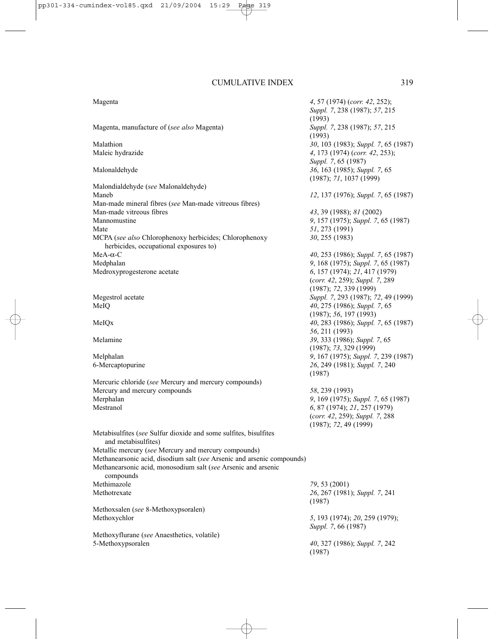Magenta *4*, 57 (1974) (*corr. 42*, 252); *Suppl. 7*, 238 (1987); *57*, 215 (1993)<br>Suppl. 7, 238 (1987); 57, 215 Magenta, manufacture of (*see also* Magenta) (1993) Malathion *30*, 103 (1983); *Suppl. 7*, 65 (1987) Maleic hydrazide *4*, 173 (1974) (*corr. 42*, 253); *Suppl. 7*, 65 (1987) Malonaldehyde *36*, 163 (1985); *Suppl. 7*, 65 (1987); *71*, 1037 (1999) Malondialdehyde (*see* Malonaldehyde) Maneb *12*, 137 (1976); *Suppl. 7*, 65 (1987) Man-made mineral fibres (*see* Man-made vitreous fibres) Man-made vitreous fibres *43*, 39 (1988); *81* (2002) Mannomustine *9*, 157 (1975); *Suppl. 7*, 65 (1987) Mate *51*, 273 (1991) MCPA (*see also* Chlorophenoxy herbicides; Chlorophenoxy *30*, 255 (1983) herbicides, occupational exposures to) MeA-α-C *40*, 253 (1986); *Suppl. 7*, 65 (1987) Medphalan *9*, 168 (1975); *Suppl. 7*, 65 (1987) Medroxyprogesterone acetate *6*, 157 (1974); *21*, 417 (1979) (*corr. 42*, 259); *Suppl. 7*, 289 (1987); *72*, 339 (1999) Megestrol acetate *Suppl. 7*, 293 (1987); *72*, 49 (1999) MeIQ *40*, 275 (1986); *Suppl. 7*, 65 (1987); *56*, 197 (1993) MeIQx *40*, 283 (1986); *Suppl. 7*, 65 (1987) *56*, 211 (1993) Melamine *39*, 333 (1986); *Suppl. 7*, 65 (1987); *73*, 329 (1999) Melphalan *9*, 167 (1975); *Suppl. 7*, 239 (1987) 6-Mercaptopurine *26*, 249 (1981); *Suppl. 7*, 240 (1987) Mercuric chloride (*see* Mercury and mercury compounds) Mercury and mercury compounds *58*, 239 (1993)<br>Merphalan *9*, 169 (1975): Merphalan *9*, 169 (1975); *Suppl. 7*, 65 (1987) Mestranol *6*, 87 (1974); *21*, 257 (1979) (*corr. 42*, 259); *Suppl. 7*, 288 (1987); *72*, 49 (1999) Metabisulfites (*see* Sulfur dioxide and some sulfites, bisulfites and metabisulfites) Metallic mercury (*see* Mercury and mercury compounds) Methanearsonic acid, disodium salt (*see* Arsenic and arsenic compounds) Methanearsonic acid, monosodium salt (*see* Arsenic and arsenic compounds Methimazole *79*, 53 (2001) Methotrexate *26*, 267 (1981); *Suppl. 7*, 241 (1987) Methoxsalen (*see* 8-Methoxypsoralen) Methoxychlor *5*, 193 (1974); *20*, 259 (1979); *Suppl. 7*, 66 (1987) Methoxyflurane (*see* Anaesthetics, volatile) 5-Methoxypsoralen *40*, 327 (1986); *Suppl. 7*, 242 (1987)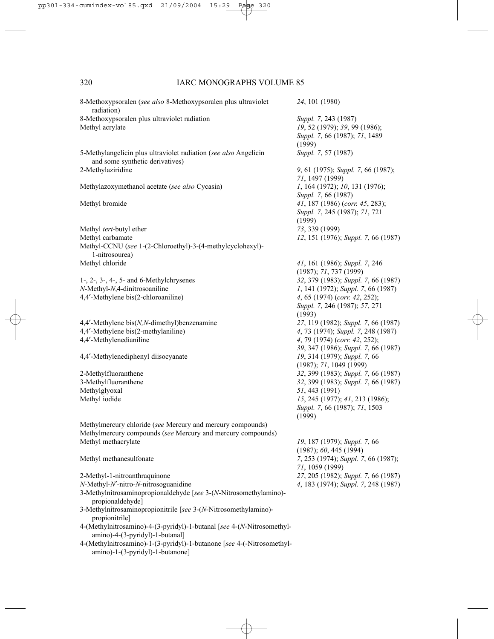| 8-Methoxypsoralen (see also 8-Methoxypsoralen plus ultraviolet<br>radiation)                               | 24, 101 (1980)                                                                                   |
|------------------------------------------------------------------------------------------------------------|--------------------------------------------------------------------------------------------------|
| 8-Methoxypsoralen plus ultraviolet radiation<br>Methyl acrylate                                            | Suppl. 7, 243 (1987)<br>19, 52 (1979); 39, 99 (1986);<br>Suppl. 7, 66 (1987); 71, 1489<br>(1999) |
| 5-Methylangelicin plus ultraviolet radiation (see also Angelicin                                           | Suppl. 7, 57 (1987)                                                                              |
| and some synthetic derivatives)<br>2-Methylaziridine                                                       | 9, 61 (1975); Suppl. 7, 66 (1987);<br>71, 1497 (1999)                                            |
| Methylazoxymethanol acetate (see also Cycasin)                                                             | 1, 164 (1972); 10, 131 (1976);<br>Suppl. 7, 66 (1987)                                            |
| Methyl bromide                                                                                             | 41, 187 (1986) (corr. 45, 283);<br>Suppl. 7, 245 (1987); 71, 721<br>(1999)                       |
| Methyl tert-butyl ether                                                                                    | 73, 339 (1999)                                                                                   |
| Methyl carbamate                                                                                           | 12, 151 (1976); Suppl. 7, 66 (1987)                                                              |
| Methyl-CCNU (see 1-(2-Chloroethyl)-3-(4-methylcyclohexyl)-<br>1-nitrosourea)                               |                                                                                                  |
| Methyl chloride                                                                                            | 41, 161 (1986); Suppl. 7, 246                                                                    |
|                                                                                                            | (1987); 71, 737 (1999)                                                                           |
| $1-$ , $2-$ , $3-$ , $4-$ , $5-$ and $6$ -Methylchrysenes                                                  | 32, 379 (1983); Suppl. 7, 66 (1987)                                                              |
| N-Methyl-N,4-dinitrosoaniline                                                                              | 1, 141 (1972); Suppl. 7, 66 (1987)                                                               |
| 4,4'-Methylene bis(2-chloroaniline)                                                                        | 4, 65 (1974) (corr. 42, 252);                                                                    |
|                                                                                                            | Suppl. 7, 246 (1987); 57, 271<br>(1993)                                                          |
| 4,4'-Methylene bis(N,N-dimethyl)benzenamine                                                                | 27, 119 (1982); Suppl. 7, 66 (1987)                                                              |
| 4,4'-Methylene bis(2-methylaniline)                                                                        | 4, 73 (1974); Suppl. 7, 248 (1987)                                                               |
| 4,4'-Methylenedianiline                                                                                    | 4, 79 (1974) (corr. 42, 252);                                                                    |
|                                                                                                            | 39, 347 (1986); Suppl. 7, 66 (1987)                                                              |
| 4,4'-Methylenediphenyl diisocyanate                                                                        | 19, 314 (1979); Suppl. 7, 66<br>(1987); 71, 1049 (1999)                                          |
| 2-Methylfluoranthene                                                                                       | 32, 399 (1983); Suppl. 7, 66 (1987)                                                              |
| 3-Methylfluoranthene                                                                                       | 32, 399 (1983); Suppl. 7, 66 (1987)                                                              |
| Methylglyoxal                                                                                              | 51, 443 (1991)                                                                                   |
| Methyl iodide                                                                                              | 15, 245 (1977); 41, 213 (1986);                                                                  |
|                                                                                                            | Suppl. 7, 66 (1987); 71, 1503<br>(1999)                                                          |
| Methylmercury chloride (see Mercury and mercury compounds)                                                 |                                                                                                  |
| Methylmercury compounds (see Mercury and mercury compounds)                                                |                                                                                                  |
| Methyl methacrylate                                                                                        | 19, 187 (1979); Suppl. 7, 66<br>(1987); 60, 445 (1994)                                           |
| Methyl methanesulfonate                                                                                    | 7, 253 (1974); Suppl. 7, 66 (1987);<br>71, 1059 (1999)                                           |
| 2-Methyl-1-nitroanthraquinone                                                                              | 27, 205 (1982); Suppl. 7, 66 (1987)                                                              |
| $N$ -Methyl- $N$ -nitro- $N$ -nitrosoguanidine                                                             | 4, 183 (1974); Suppl. 7, 248 (1987)                                                              |
| 3-Methylnitrosaminopropionaldehyde [see 3-(N-Nitrosomethylamino)-<br>propionaldehyde]                      |                                                                                                  |
| 3-Methylnitrosaminopropionitrile [see 3-(N-Nitrosomethylamino)-                                            |                                                                                                  |
| propionitrile]                                                                                             |                                                                                                  |
| 4-(Methylnitrosamino)-4-(3-pyridyl)-1-butanal [see 4-(N-Nitrosomethyl-<br>amino)-4-(3-pyridyl)-1-butanal]  |                                                                                                  |
| 4-(Methylnitrosamino)-1-(3-pyridyl)-1-butanone [see 4-(-Nitrosomethyl-<br>amino)-1-(3-pyridyl)-1-butanone] |                                                                                                  |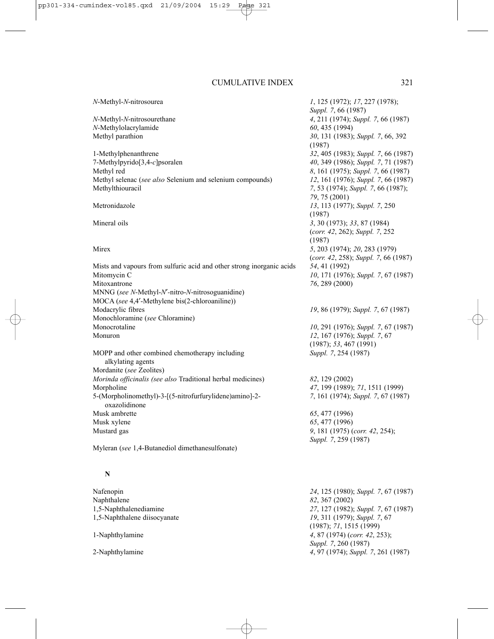#### *N*-Methyl-*N*-nitrosourea *1*, 125 (1972); *17*, 227 (1978);

*N*-Methylolacrylamide *60*, 435 (1994)

1-Methylphenanthrene *32*, 405 (1983); *Suppl. 7*, 66 (1987) 7-Methylpyrido[3,4-*c*]psoralen *40*, 349 (1986); *Suppl. 7*, 71 (1987) Methyl red *8*, 161 (1975); *Suppl. 7*, 66 (1987) Methyl selenac (*see also* Selenium and selenium compounds) *12*, 161 (1976); *Suppl. 7*, 66 (1987) Methylthiouracil *7*, 53 (1974); *Suppl. 7*, 66 (1987);

Mists and vapours from sulfuric acid and other strong inorganic acids *54*, 41 (1992) Mitomycin C *10*, 171 (1976); *Suppl. 7*, 67 (1987) Mitoxantrone *76*, 289 (2000) MNNG (*see N*-Methyl-*N*′*-*nitro-*N*-nitrosoguanidine) MOCA (*see* 4,4′-Methylene bis(2-chloroaniline)) Modacrylic fibres *19*, 86 (1979); *Suppl. 7*, 67 (1987) Monochloramine (*see* Chloramine) Monocrotaline *10*, 291 (1976); *Suppl. 7*, 67 (1987) Monuron *12*, 167 (1976); *Suppl. 7*, 67

MOPP and other combined chemotherapy including *Suppl. 7*, 254 (1987) alkylating agents Mordanite (*see* Zeolites) *Morinda officinalis (see also* Traditional herbal medicines) *82*, 129 (2002) Morpholine *47*, 199 (1989); *71*, 1511 (1999) 5-(Morpholinomethyl)-3-[(5-nitrofurfurylidene)amino]-2- *7*, 161 (1974); *Suppl. 7*, 67 (1987) oxazolidinone Musk ambrette *65*, 477 (1996) Musk xylene *65*, 477 (1996) Mustard gas *9*, 181 (1975) (*corr. 42*, 254);

Myleran (*see* 1,4-Butanediol dimethanesulfonate)

### **N**

Nafenopin *24*, 125 (1980); *Suppl. 7*, 67 (1987) Naphthalene *82*, 367 (2002) 1,5-Naphthalenediamine *27*, 127 (1982); *Suppl. 7*, 67 (1987) 1,5-Naphthalene diisocyanate *19*, 311 (1979); *Suppl. 7*, 67 (1987); *71*, 1515 (1999) 1-Naphthylamine *4*, 87 (1974) (*corr. 42*, 253); *Suppl. 7*, 260 (1987) 2-Naphthylamine *4*, 97 (1974); *Suppl. 7*, 261 (1987)

*Suppl. 7*, 66 (1987) *N*-Methyl-*N*-nitrosourethane *4*, 211 (1974); *Suppl. 7*, 66 (1987) Methyl parathion *30*, 131 (1983); *Suppl. 7*, 66, 392 (1987) *79*, 75 (2001) Metronidazole *13*, 113 (1977); *Suppl. 7*, 250 (1987) Mineral oils *3*, 30 (1973); *33*, 87 (1984) (*corr. 42*, 262); *Suppl. 7*, 252 (1987) Mirex *5*, 203 (1974); *20*, 283 (1979) (*corr. 42*, 258); *Suppl. 7*, 66 (1987)

(1987); *53*, 467 (1991)

*Suppl. 7*, 259 (1987)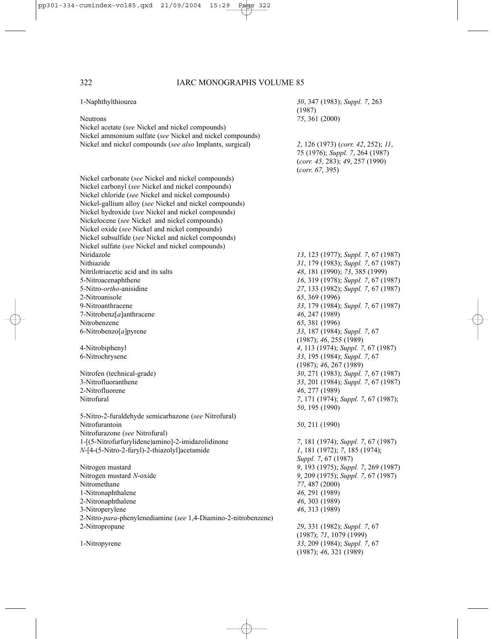| 1-Naphthylthiourea                                                                | 30, 347 (1983); Suppl. 7, 263<br>(1987) |
|-----------------------------------------------------------------------------------|-----------------------------------------|
| <b>Neutrons</b>                                                                   | 75, 361 (2000)                          |
| Nickel acetate (see Nickel and nickel compounds)                                  |                                         |
| Nickel ammonium sulfate (see Nickel and nickel compounds)                         |                                         |
| Nickel and nickel compounds (see also Implants, surgical)                         | 2, 126 (1973) (corr. 42, 252); 11,      |
|                                                                                   | 75 (1976); Suppl. 7, 264 (1987)         |
|                                                                                   | (corr. 45, 283); 49, 257 (1990)         |
|                                                                                   | (corr. 67, 395)                         |
|                                                                                   |                                         |
| Nickel carbonate (see Nickel and nickel compounds)                                |                                         |
| Nickel carbonyl (see Nickel and nickel compounds)                                 |                                         |
| Nickel chloride (see Nickel and nickel compounds)                                 |                                         |
| Nickel-gallium alloy (see Nickel and nickel compounds)                            |                                         |
| Nickel hydroxide (see Nickel and nickel compounds)                                |                                         |
| Nickelocene (see Nickel and nickel compounds)                                     |                                         |
| Nickel oxide (see Nickel and nickel compounds)                                    |                                         |
| Nickel subsulfide (see Nickel and nickel compounds)                               |                                         |
| Nickel sulfate (see Nickel and nickel compounds)                                  |                                         |
| Niridazole                                                                        | 13, 123 (1977); Suppl. 7, 67 (1987)     |
| Nithiazide                                                                        | 31, 179 (1983); Suppl. 7, 67 (1987)     |
| Nitrilotriacetic acid and its salts                                               | 48, 181 (1990); 73, 385 (1999)          |
| 5-Nitroacenaphthene                                                               | 16, 319 (1978); Suppl. 7, 67 (1987)     |
| 5-Nitro-ortho-anisidine                                                           | 27, 133 (1982); Suppl. 7, 67 (1987)     |
| 2-Nitroanisole                                                                    | 65, 369 (1996)                          |
| 9-Nitroanthracene                                                                 | 33, 179 (1984); Suppl. 7, 67 (1987)     |
| 7-Nitrobenz $[a]$ anthracene                                                      | 46, 247 (1989)                          |
| Nitrobenzene                                                                      | 65, 381 (1996)                          |
| 6-Nitrobenzo $[a]$ pyrene                                                         | 33, 187 (1984); Suppl. 7, 67            |
|                                                                                   | (1987); 46, 255 (1989)                  |
| 4-Nitrobiphenyl                                                                   | 4, 113 (1974); Suppl. 7, 67 (1987)      |
| 6-Nitrochrysene                                                                   | 33, 195 (1984); Suppl. 7, 67            |
|                                                                                   | (1987); 46, 267 (1989)                  |
| Nitrofen (technical-grade)                                                        | 30, 271 (1983); Suppl. 7, 67 (1987)     |
| 3-Nitrofluoranthene                                                               | 33, 201 (1984); Suppl. 7, 67 (1987)     |
| 2-Nitrofluorene                                                                   | 46, 277 (1989)                          |
| Nitrofural                                                                        | 7, 171 (1974); Suppl. 7, 67 (1987);     |
|                                                                                   | 50, 195 (1990)                          |
| 5-Nitro-2-furaldehyde semicarbazone (see Nitrofural)                              |                                         |
| Nitrofurantoin                                                                    | 50, 211 (1990)                          |
| Nitrofurazone (see Nitrofural)                                                    |                                         |
| 1-[(5-Nitrofurfurylidene)amino]-2-imidazolidinone                                 | 7, 181 (1974); Suppl. 7, 67 (1987)      |
| N-[4-(5-Nitro-2-furyl)-2-thiazolyl]acetamide                                      | 1, 181 (1972); 7, 185 (1974);           |
|                                                                                   | Suppl. 7, 67 (1987)                     |
| Nitrogen mustard                                                                  | 9, 193 (1975); Suppl. 7, 269 (1987)     |
| Nitrogen mustard N-oxide                                                          | 9, 209 (1975); Suppl. 7, 67 (1987)      |
| Nitromethane                                                                      | 77, 487 (2000)                          |
| 1-Nitronaphthalene                                                                | 46, 291 (1989)                          |
| 2-Nitronaphthalene                                                                | 46, 303 (1989)                          |
|                                                                                   | 46, 313 (1989)                          |
| 3-Nitroperylene<br>2-Nitro-para-phenylenediamine (see 1,4-Diamino-2-nitrobenzene) |                                         |
|                                                                                   |                                         |
| 2-Nitropropane                                                                    | 29, 331 (1982); Suppl. 7, 67            |
|                                                                                   | (1987); 71, 1079 (1999)                 |
| 1-Nitropyrene                                                                     | 33, 209 (1984); Suppl. 7, 67            |
|                                                                                   | (1987); 46, 321 (1989)                  |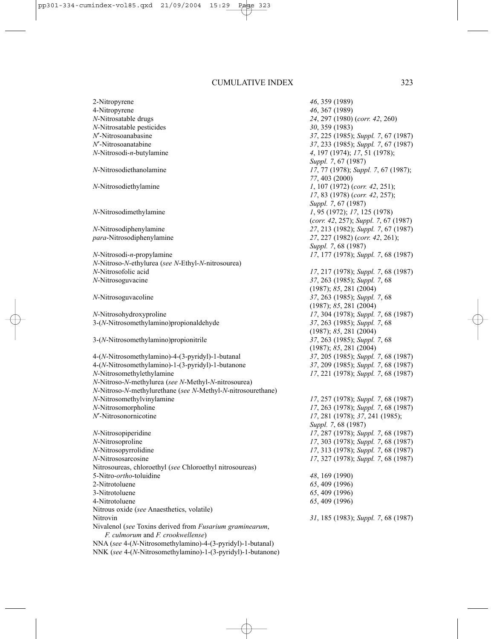2-Nitropyrene *46*, 359 (1989) 4-Nitropyrene *46*, 367 (1989) *N*-Nitrosatable drugs *24*, 297 (1980) (*corr. 42*, 260) *N*-Nitrosatable pesticides *30*, 359 (1983) *N*′-Nitrosoanabasine *37*, 225 (1985); *Suppl. 7*, 67 (1987) *N*'-Nitrosoanatabine *37*, 233 (1985); *Suppl. 7*, 67 (1987)<br>*N*-Nitrosodi-*n*-butvlamine 4. 197 (1974): 17, 51 (1978): *A*, 197 (1974); *17*, 51 (1978); *Suppl. 7*, 67 (1987) *N*-Nitrosodiethanolamine *17*, 77 (1978); *Suppl. 7*, 67 (1987); *77*, 403 (2000) *N*-Nitrosodiethylamine *1*, 107 (1972) (*corr. 42*, 251); *17*, 83 (1978) (*corr. 42*, 257); *Suppl. 7*, 67 (1987) *N*-Nitrosodimethylamine *1*, 95 (1972); *17*, 125 (1978) (*corr. 42*, 257); *Suppl. 7*, 67 (1987) *N*-Nitrosodiphenylamine *27*, 213 (1982); *Suppl. 7*, 67 (1987) *para*-Nitrosodiphenylamine *27*, 227 (1982) (*corr. 42*, 261); *Suppl. 7*, 68 (1987) *N*-Nitrosodi-*n*-propylamine *17*, 177 (1978); *Suppl. 7*, 68 (1987) *N*-Nitroso-*N*-ethylurea (*see N*-Ethyl-*N*-nitrosourea) *N*-Nitrosofolic acid *17*, 217 (1978); *Suppl. 7*, 68 (1987) *N*-Nitrosoguvacine *37*, 263 (1985); *Suppl. 7*, 68 (1987); *85*, 281 (2004) *N*-Nitrosoguvacoline *37*, 263 (1985); *Suppl. 7*, 68 (1987); *85*, 281 (2004) *N*-Nitrosohydroxyproline *17*, 304 (1978); *Suppl. 7*, 68 (1987) 3-(*N*-Nitrosomethylamino)propionaldehyde *37*, 263 (1985); *Suppl. 7*, 68 (1987); *85*, 281 (2004) 3-(*N*-Nitrosomethylamino)propionitrile *37*, 263 (1985); *Suppl. 7*, 68 (1987); *85*, 281 (2004) 4-(*N*-Nitrosomethylamino)-4-(3-pyridyl)-1-butanal *37*, 205 (1985); *Suppl. 7*, 68 (1987) 4-(*N*-Nitrosomethylamino)-1-(3-pyridyl)-1-butanone *37*, 209 (1985); *Suppl. 7*, 68 (1987) *N*-Nitrosomethylethylamine *17*, 221 (1978); *Suppl. 7*, 68 (1987) *N*-Nitroso-*N*-methylurea (*see N*-Methyl-*N*-nitrosourea) *N*-Nitroso-*N*-methylurethane (*see N*-Methyl-*N*-nitrosourethane) *N*-Nitrosomethylvinylamine *17*, 257 (1978); *Suppl. 7*, 68 (1987) *N*-Nitrosomorpholine *17*, 263 (1978); *Suppl. 7*, 68 (1987) *N*′-Nitrosonornicotine *17*, 281 (1978); *37*, 241 (1985); *Suppl. 7*, 68 (1987) *N*-Nitrosopiperidine *17*, 287 (1978); *Suppl. 7*, 68 (1987) *N*-Nitrosoproline *17*, 303 (1978); *Suppl. 7*, 68 (1987) *N*-Nitrosopyrrolidine *17*, 313 (1978); *Suppl. 7*, 68 (1987) *N*-Nitrososarcosine *17*, 327 (1978); *Suppl. 7*, 68 (1987) Nitrosoureas, chloroethyl (*see* Chloroethyl nitrosoureas) 5-Nitro-*ortho*-toluidine *48*, 169 (1990) 2-Nitrotoluene *65*, 409 (1996) 3-Nitrotoluene *65*, 409 (1996) 4-Nitrotoluene *65*, 409 (1996) Nitrous oxide (*see* Anaesthetics, volatile) Nitrovin *31*, 185 (1983); *Suppl. 7*, 68 (1987) Nivalenol (*see* Toxins derived from *Fusarium graminearum*, *F. culmorum* and *F. crookwellense*) NNA (*see* 4-(*N*-Nitrosomethylamino)-4-(3-pyridyl)-1-butanal)

NNK (*see* 4-(*N*-Nitrosomethylamino)-1-(3-pyridyl)-1-butanone)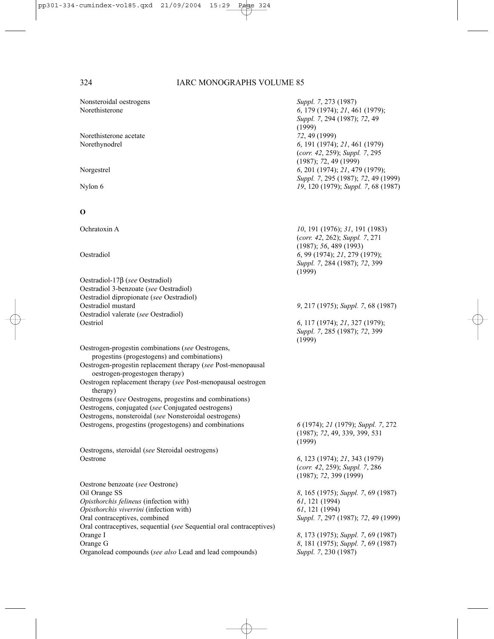| Nonsteroidal oestrogens                                                          | Suppl. 7, 273 (1987)                                                  |
|----------------------------------------------------------------------------------|-----------------------------------------------------------------------|
| Norethisterone                                                                   | 6, 179 (1974); 21, 461 (1979);                                        |
|                                                                                  | Suppl. 7, 294 (1987); 72, 49                                          |
|                                                                                  | (1999)                                                                |
| Norethisterone acetate                                                           | 72, 49 (1999)                                                         |
| Norethynodrel                                                                    | 6, 191 (1974); 21, 461 (1979)                                         |
|                                                                                  | (corr. 42, 259); Suppl. 7, 295                                        |
|                                                                                  | (1987); 72, 49 (1999)                                                 |
| Norgestrel                                                                       | 6, 201 (1974); 21, 479 (1979);<br>Suppl. 7, 295 (1987); 72, 49 (1999) |
| Nylon 6                                                                          | 19, 120 (1979); Suppl. 7, 68 (1987)                                   |
|                                                                                  |                                                                       |
|                                                                                  |                                                                       |
| O                                                                                |                                                                       |
| Ochratoxin A                                                                     | 10, 191 (1976); 31, 191 (1983)                                        |
|                                                                                  | (corr. 42, 262); Suppl. 7, 271                                        |
|                                                                                  | (1987); 56, 489(1993)                                                 |
| Oestradiol                                                                       | 6, 99 (1974); 21, 279 (1979);                                         |
|                                                                                  | Suppl. 7, 284 (1987); 72, 399                                         |
|                                                                                  | (1999)                                                                |
| Oestradiol-17 $\beta$ (see Oestradiol)                                           |                                                                       |
| Oestradiol 3-benzoate (see Oestradiol)                                           |                                                                       |
| Oestradiol dipropionate (see Oestradiol)<br>Oestradiol mustard                   |                                                                       |
| Oestradiol valerate (see Oestradiol)                                             | 9, 217 (1975); Suppl. 7, 68 (1987)                                    |
| Oestriol                                                                         | 6, 117 (1974); 21, 327 (1979);                                        |
|                                                                                  | Suppl. 7, 285 (1987); 72, 399<br>(1999)                               |
| Oestrogen-progestin combinations (see Oestrogens,                                |                                                                       |
| progestins (progestogens) and combinations)                                      |                                                                       |
| Oestrogen-progestin replacement therapy (see Post-menopausal                     |                                                                       |
| oestrogen-progestogen therapy)                                                   |                                                                       |
| Oestrogen replacement therapy (see Post-menopausal oestrogen                     |                                                                       |
| therapy)                                                                         |                                                                       |
| Oestrogens (see Oestrogens, progestins and combinations)                         |                                                                       |
| Oestrogens, conjugated (see Conjugated oestrogens)                               |                                                                       |
| Oestrogens, nonsteroidal (see Nonsteroidal oestrogens)                           |                                                                       |
| Oestrogens, progestins (progestogens) and combinations                           | 6 (1974); 21 (1979); Suppl. 7, 272<br>(1987); 72, 49, 339, 399, 531   |
|                                                                                  | (1999)                                                                |
| Oestrogens, steroidal (see Steroidal oestrogens)                                 |                                                                       |
| Oestrone                                                                         | 6, 123 (1974); 21, 343 (1979)                                         |
|                                                                                  | (corr. 42, 259); Suppl. 7, 286                                        |
|                                                                                  | $(1987)$ ; 72, 399 (1999)                                             |
| Oestrone benzoate (see Oestrone)                                                 |                                                                       |
| Oil Orange SS                                                                    | 8, 165 (1975); Suppl. 7, 69 (1987)                                    |
| Opisthorchis felineus (infection with)                                           | 61, 121 (1994)                                                        |
| Opisthorchis viverrini (infection with)                                          | 61, 121 (1994)                                                        |
| Oral contraceptives, combined                                                    | Suppl. 7, 297 (1987); 72, 49 (1999)                                   |
| Oral contraceptives, sequential (see Sequential oral contraceptives)<br>Orange I | 8, 173 (1975); Suppl. 7, 69 (1987)                                    |
| Orange G                                                                         | 8, 181 (1975); Suppl. 7, 69 (1987)                                    |
| Organolead compounds (see also Lead and lead compounds)                          | Suppl. 7, 230 (1987)                                                  |
|                                                                                  |                                                                       |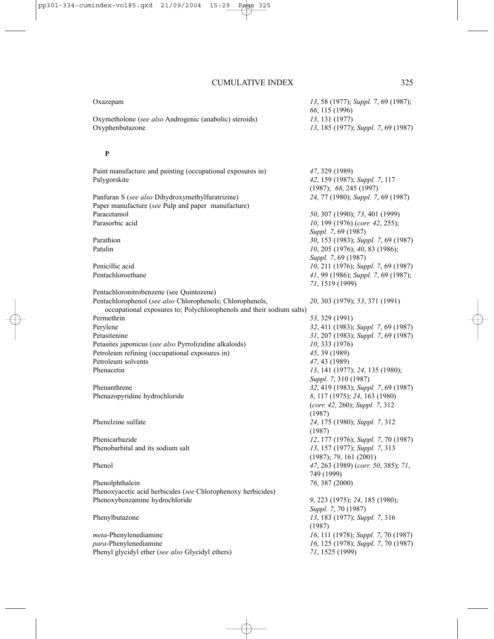Oxymetholone (*see also* Androgenic (anabolic) steroids) *13*, 131 (1977) Oxyphenbutazone *13*, 185 (1977); *Suppl. 7*, 69 (1987)

### **P**

Paint manufacture and painting (occupational exposures in) *47*, 329 (1989) Palygorskite *42*, 159 (1987); *Suppl. 7*, 117 (1987); *68*, 245 (1997) Panfuran S (*see also* Dihydroxymethylfuratrizine) *24*, 77 (1980); *Suppl. 7*, 69 (1987) Paper manufacture (*see* Pulp and paper manufacture) Paracetamol *50*, 307 (1990); *73*, 401 (1999) Parasorbic acid *10*, 199 (1976) (*corr. 42*, 255); *Suppl. 7*, 69 (1987) Parathion *30*, 153 (1983); *Suppl. 7*, 69 (1987) Patulin *10*, 205 (1976); *40*, 83 (1986); *Suppl. 7*, 69 (1987) Penicillic acid *10*, 211 (1976); *Suppl. 7*, 69 (1987) Pentachloroethane *41*, 99 (1986); *Suppl. 7*, 69 (1987); *71*, 1519 (1999) Pentachloronitrobenzene (see Quintozene) Pentachlorophenol (*see also* Chlorophenols; Chlorophenols, *20*, 303 (1979); *53*, 371 (1991) occupational exposures to; Polychlorophenols and their sodium salts) Permethrin *53*, 329 (1991) Perylene *32*, 411 (1983); *Suppl. 7*, 69 (1987) Petasitenine *31*, 207 (1983); *Suppl. 7*, 69 (1987) Petasites japonicus (*see also* Pyrrolizidine alkaloids) *10*, 333 (1976) Petroleum refining (occupational exposures in) *45*, 39 (1989) Petroleum solvents *47*, 43 (1989) Phenacetin *13*, 141 (1977); *24*, 135 (1980); *Suppl. 7*, 310 (1987) Phenanthrene *32*, 419 (1983); *Suppl. 7*, 69 (1987) Phenazopyridine hydrochloride *8*, 117 (1975); *24*, 163 (1980) (*corr. 42*, 260); *Suppl. 7*, 312 (1987) Phenelzine sulfate *24*, 175 (1980); *Suppl. 7*, 312 (1987) Phenicarbazide *12*, 177 (1976); *Suppl. 7*, 70 (1987) Phenobarbital and its sodium salt *13*, 157 (1977); *Suppl. 7*, 313 (1987); *79*, 161 (2001) Phenol *47*, 263 (1989) (*corr. 50*, 385); *71*, 749 (1999) Phenolphthalein *76*, 387 (2000) Phenoxyacetic acid herbicides (*see* Chlorophenoxy herbicides) Phenoxybenzamine hydrochloride *9*, 223 (1975); *24*, 185 (1980); *Suppl. 7*, 70 (1987) Phenylbutazone *13*, 183 (1977); *Suppl. 7*, 316 (1987) *meta*-Phenylenediamine *16*, 111 (1978); *Suppl. 7*, 70 (1987) *para*-Phenylene *16*, 125 (1978); *Suppl.* 7, 70 (1987) Phenyl glycidyl ether (*see also* Glycidyl ethers) *71*, 1525 (1999)

*66*, 115 (1996)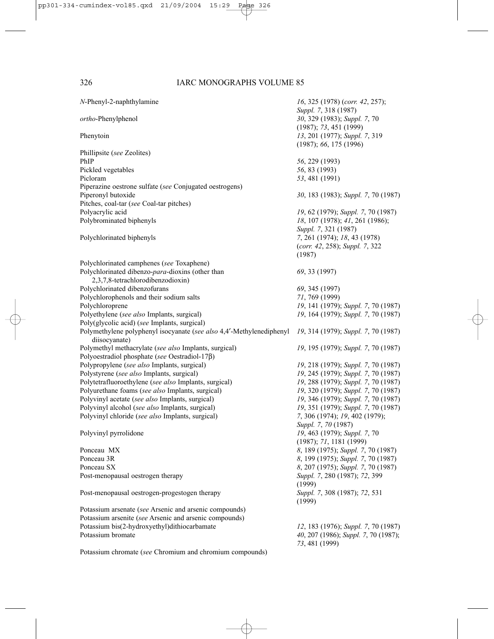| $N$ -Phenyl-2-naphthylamine                                                                                          | 16, 325 (1978) (corr. 42, 257);<br>Suppl. 7, 318 (1987)                    |
|----------------------------------------------------------------------------------------------------------------------|----------------------------------------------------------------------------|
| ortho-Phenylphenol                                                                                                   | 30, 329 (1983); Suppl. 7, 70<br>(1987); 73, 451 (1999)                     |
| Phenytoin                                                                                                            | 13, 201 (1977); Suppl. 7, 319<br>(1987); 66, 175 (1996)                    |
| Phillipsite (see Zeolites)                                                                                           |                                                                            |
| PhIP                                                                                                                 | 56, 229 (1993)                                                             |
| Pickled vegetables                                                                                                   | 56, 83 (1993)                                                              |
| Picloram                                                                                                             | 53, 481 (1991)                                                             |
| Piperazine oestrone sulfate (see Conjugated oestrogens)                                                              |                                                                            |
| Piperonyl butoxide                                                                                                   | 30, 183 (1983); Suppl. 7, 70 (1987)                                        |
| Pitches, coal-tar (see Coal-tar pitches)                                                                             |                                                                            |
| Polyacrylic acid                                                                                                     | 19, 62 (1979); Suppl. 7, 70 (1987)                                         |
| Polybrominated biphenyls                                                                                             | 18, 107 (1978); 41, 261 (1986);                                            |
|                                                                                                                      | Suppl. 7, 321 (1987)                                                       |
| Polychlorinated biphenyls                                                                                            | 7, 261 (1974); 18, 43 (1978)                                               |
|                                                                                                                      | (corr. 42, 258); Suppl. 7, 322                                             |
|                                                                                                                      | (1987)                                                                     |
| Polychlorinated camphenes (see Toxaphene)                                                                            |                                                                            |
| Polychlorinated dibenzo-para-dioxins (other than                                                                     | 69, 33 (1997)                                                              |
| 2,3,7,8-tetrachlorodibenzodioxin)                                                                                    |                                                                            |
| Polychlorinated dibenzofurans                                                                                        | 69, 345 (1997)                                                             |
| Polychlorophenols and their sodium salts                                                                             | 71, 769 (1999)                                                             |
| Polychloroprene                                                                                                      | 19, 141 (1979); Suppl. 7, 70 (1987)                                        |
| Polyethylene (see also Implants, surgical)                                                                           | 19, 164 (1979); Suppl. 7, 70 (1987)                                        |
| Poly(glycolic acid) (see Implants, surgical)<br>Polymethylene polyphenyl isocyanate (see also 4,4'-Methylenediphenyl | 19, 314 (1979); Suppl. 7, 70 (1987)                                        |
| diisocyanate)                                                                                                        |                                                                            |
| Polymethyl methacrylate (see also Implants, surgical)                                                                | 19, 195 (1979); Suppl. 7, 70 (1987)                                        |
| Polyoestradiol phosphate (see Oestradiol-17 $\beta$ )                                                                |                                                                            |
| Polypropylene (see also Implants, surgical)                                                                          | 19, 218 (1979); Suppl. 7, 70 (1987)                                        |
| Polystyrene (see also Implants, surgical)                                                                            | 19, 245 (1979); Suppl. 7, 70 (1987)                                        |
| Polytetrafluoroethylene (see also Implants, surgical)                                                                | 19, 288 (1979); Suppl. 7, 70 (1987)                                        |
| Polyurethane foams (see also Implants, surgical)<br>Polyvinyl acetate (see also Implants, surgical)                  | 19, 320 (1979); Suppl. 7, 70 (1987)<br>19, 346 (1979); Suppl. 7, 70 (1987) |
| Polyvinyl alcohol (see also Implants, surgical)                                                                      | 19, 351 (1979); Suppl. 7, 70 (1987)                                        |
| Polyvinyl chloride (see also Implants, surgical)                                                                     | 7, 306 (1974); 19, 402 (1979);                                             |
|                                                                                                                      | Suppl. 7, 70 (1987)                                                        |
| Polyvinyl pyrrolidone                                                                                                | 19, 463 (1979); Suppl. 7, 70                                               |
|                                                                                                                      | (1987); 71, 1181 (1999)                                                    |
| Ponceau MX                                                                                                           | 8, 189 (1975); Suppl. 7, 70 (1987)                                         |
| Ponceau 3R                                                                                                           | 8, 199 (1975); Suppl. 7, 70 (1987)                                         |
| Ponceau SX                                                                                                           | 8, 207 (1975); Suppl. 7, 70 (1987)                                         |
| Post-menopausal oestrogen therapy                                                                                    | Suppl. 7, 280 (1987); 72, 399                                              |
|                                                                                                                      | (1999)                                                                     |
| Post-menopausal oestrogen-progestogen therapy                                                                        | Suppl. 7, 308 (1987); 72, 531<br>(1999)                                    |
| Potassium arsenate (see Arsenic and arsenic compounds)                                                               |                                                                            |
| Potassium arsenite (see Arsenic and arsenic compounds)                                                               |                                                                            |
| Potassium bis(2-hydroxyethyl)dithiocarbamate                                                                         | 12, 183 (1976); Suppl. 7, 70 (1987)                                        |
| Potassium bromate                                                                                                    | 40, 207 (1986); Suppl. 7, 70 (1987);<br>73, 481 (1999)                     |
| Potassium chromate (see Chromium and chromium compounds)                                                             |                                                                            |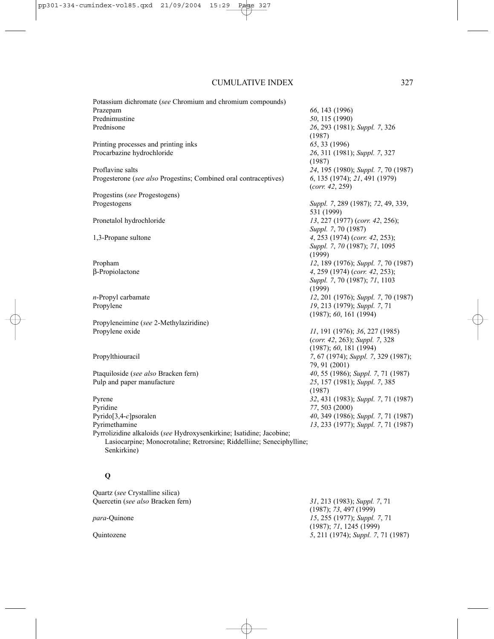| Potassium dichromate (see Chromium and chromium compounds)            |                                     |
|-----------------------------------------------------------------------|-------------------------------------|
| Prazepam                                                              | 66, 143 (1996)                      |
| Prednimustine                                                         | 50, 115 (1990)                      |
| Prednisone                                                            | 26, 293 (1981); Suppl. 7, 326       |
|                                                                       | (1987)                              |
| Printing processes and printing inks                                  | 65, 33 (1996)                       |
| Procarbazine hydrochloride                                            | 26, 311 (1981); Suppl. 7, 327       |
|                                                                       | (1987)                              |
| Proflavine salts                                                      | 24, 195 (1980); Suppl. 7, 70 (1987) |
| Progesterone (see also Progestins; Combined oral contraceptives)      | 6, 135 (1974); 21, 491 (1979)       |
|                                                                       | (corr. 42, 259)                     |
| Progestins (see Progestogens)                                         |                                     |
| Progestogens                                                          | Suppl. 7, 289 (1987); 72, 49, 339,  |
|                                                                       | 531 (1999)                          |
| Pronetalol hydrochloride                                              | 13, 227 (1977) (corr. 42, 256);     |
|                                                                       | Suppl. 7, 70 (1987)                 |
| 1,3-Propane sultone                                                   | 4, 253 (1974) (corr. 42, 253);      |
|                                                                       | Suppl. 7, 70 (1987); 71, 1095       |
|                                                                       | (1999)                              |
| Propham                                                               | 12, 189 (1976); Suppl. 7, 70 (1987) |
| β-Propiolactone                                                       | 4, 259 (1974) (corr. 42, 253);      |
|                                                                       | Suppl. 7, 70 (1987); 71, 1103       |
|                                                                       | (1999)                              |
| $n$ -Propyl carbamate                                                 | 12, 201 (1976); Suppl. 7, 70 (1987) |
| Propylene                                                             | 19, 213 (1979); Suppl. 7, 71        |
|                                                                       | (1987); 60, 161 (1994)              |
| Propyleneimine (see 2-Methylaziridine)                                |                                     |
| Propylene oxide                                                       | 11, 191 (1976); 36, 227 (1985)      |
|                                                                       | (corr. 42, 263); Suppl. 7, 328      |
|                                                                       | (1987); 60, 181 (1994)              |
| Propylthiouracil                                                      | 7, 67 (1974); Suppl. 7, 329 (1987); |
|                                                                       | 79, 91 (2001)                       |
| Ptaquiloside (see also Bracken fern)                                  | 40, 55 (1986); Suppl. 7, 71 (1987)  |
| Pulp and paper manufacture                                            | 25, 157 (1981); Suppl. 7, 385       |
|                                                                       | (1987)                              |
| Pyrene                                                                | 32, 431 (1983); Suppl. 7, 71 (1987) |
| Pyridine                                                              | 77, 503 (2000)                      |
| Pyrido $[3,4-c]$ psoralen                                             | 40, 349 (1986); Suppl. 7, 71 (1987) |
| Pyrimethamine                                                         | 13, 233 (1977); Suppl. 7, 71 (1987) |
| Pyrrolizidine alkaloids (see Hydroxysenkirkine; Isatidine; Jacobine;  |                                     |
| Lasiocarpine; Monocrotaline; Retrorsine; Riddelliine; Seneciphylline; |                                     |
| Senkirkine)                                                           |                                     |
|                                                                       |                                     |

# **Q**

Quartz (*see* Crystalline silica) Quercetin (*see also* Bracken fern) *31*, 213 (1983); *Suppl. 7*, 71 (1987); *73*, 497 (1999) *para*-Quinone *15*, 255 (1977); *Suppl. 7*, 71 (1987); *71*, 1245 (1999) Quintozene *5*, 211 (1974); *Suppl. 7*, 71 (1987)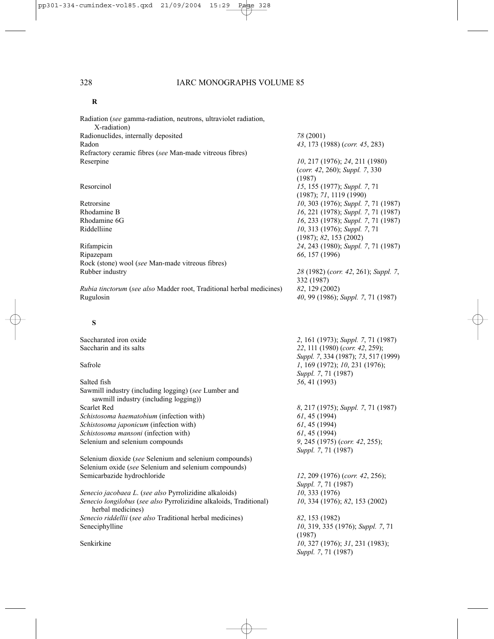#### **R**

Radiation (*see* gamma-radiation, neutrons, ultraviolet radiation, X-radiation) Radionuclides, internally deposited *78* (2001) Radon *43*, 173 (1988) (*corr. 45*, 283) Refractory ceramic fibres (*see* Man-made vitreous fibres) Reserpine *10*, 217 (1976); *24*, 211 (1980)

Ripazepam *66*, 157 (1996) Rock (stone) wool (*see* Man-made vitreous fibres) Rubber industry *28* (1982) (*corr. 42*, 261); *Suppl. 7*,

*Rubia tinctorum (see also Madder root, Traditional herbal medicines)* Rugulosin *40*, 99 (1986); *Suppl. 7*, 71 (1987)

### **S**

Saccharated iron oxide<br>
Saccharin and its salts<br> **2**, 161 (1973); *Suppl.* 7, 71 (1987)<br> **22**, 111 (1980) (*corr.* 42, 259): 22, 111 (1980) (*corr. 42*, 259); *Suppl. 7*, 334 (1987); *73*, 517 (1999) Safrole *1*, 169 (1972); *10*, 231 (1976); *Suppl. 7*, 71 (1987) Salted fish *56*, 41 (1993) Sawmill industry (including logging) (*see* Lumber and sawmill industry (including logging)) Scarlet Red *8*, 217 (1975); *Suppl. 7*, 71 (1987) *Schistosoma haematobium* (infection with) *61*, 45 (1994) *Schistosoma japonicum* (infection with) *61*, 45 (1994) *Schistosoma mansoni* (infection with) *61*, 45 (1994) Selenium and selenium compounds *9*, 245 (1975) (*corr. 42*, 255); *Suppl. 7*, 71 (1987) Selenium dioxide (*see* Selenium and selenium compounds) Selenium oxide (*see* Selenium and selenium compounds) Semicarbazide hydrochloride *12*, 209 (1976) (*corr. 42*, 256); *Suppl. 7*, 71 (1987) *Senecio jacobaea L*. (*see also* Pyrrolizidine alkaloids) *10*, 333 (1976) *Senecio longilobus* (*see also* Pyrrolizidine alkaloids, Traditional) *10*, 334 (1976); *82*, 153 (2002) herbal medicines) *Senecio riddellii* (*see also* Traditional herbal medicines) *82*, 153 (1982) Seneciphylline *10*, 319, 335 (1976); *Suppl. 7*, 71 (1987) Senkirkine *10*, 327 (1976); *31*, 231 (1983); *Suppl. 7*, 71 (1987)

(*corr. 42*, 260); *Suppl. 7*, 330 (1987) Resorcinol *15*, 155 (1977); *Suppl. 7*, 71 (1987); *71*, 1119 (1990) Retrorsine *10*, 303 (1976); *Suppl. 7*, 71 (1987) Rhodamine B *16*, 221 (1978); *Suppl. 7*, 71 (1987) Rhodamine 6G *16*, 233 (1978); *Suppl. 7*, 71 (1987) Riddelliine *10*, 313 (1976); *Suppl. 7*, 71 (1987); *82*, 153 (2002) Rifampicin *24*, 243 (1980); *Suppl. 7*, 71 (1987)

| 28 (1982) (corr. 42, 261); Suppl. 7 |  |  |
|-------------------------------------|--|--|
| 332 (1987)                          |  |  |
| 82, 129 (2002)                      |  |  |
| 40, 99 (1986); Suppl. 7, 71 (1987)  |  |  |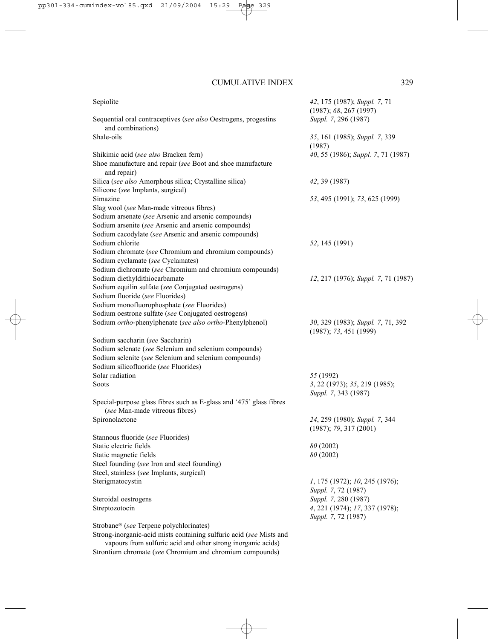| Sepiolite                                                                                             | 42, 175 (1987); Suppl. 7, 71<br>(1987); 68, 267 (1997) |
|-------------------------------------------------------------------------------------------------------|--------------------------------------------------------|
| Sequential oral contraceptives (see also Oestrogens, progestins<br>and combinations)                  | Suppl. 7, 296 (1987)                                   |
| Shale-oils                                                                                            | 35, 161 (1985); Suppl. 7, 339<br>(1987)                |
| Shikimic acid (see also Bracken fern)                                                                 | 40, 55 (1986); Suppl. 7, 71 (1987)                     |
| Shoe manufacture and repair (see Boot and shoe manufacture<br>and repair)                             |                                                        |
| Silica (see also Amorphous silica; Crystalline silica)                                                | 42, 39 (1987)                                          |
| Silicone (see Implants, surgical)                                                                     |                                                        |
| Simazine                                                                                              | 53, 495 (1991); 73, 625 (1999)                         |
| Slag wool (see Man-made vitreous fibres)                                                              |                                                        |
| Sodium arsenate (see Arsenic and arsenic compounds)                                                   |                                                        |
| Sodium arsenite (see Arsenic and arsenic compounds)                                                   |                                                        |
| Sodium cacodylate (see Arsenic and arsenic compounds)                                                 |                                                        |
| Sodium chlorite                                                                                       | 52, 145 (1991)                                         |
| Sodium chromate (see Chromium and chromium compounds)                                                 |                                                        |
| Sodium cyclamate (see Cyclamates)                                                                     |                                                        |
| Sodium dichromate (see Chromium and chromium compounds)                                               |                                                        |
| Sodium diethyldithiocarbamate                                                                         | 12, 217 (1976); Suppl. 7, 71 (1987)                    |
| Sodium equilin sulfate (see Conjugated oestrogens)<br>Sodium fluoride (see Fluorides)                 |                                                        |
| Sodium monofluorophosphate (see Fluorides)                                                            |                                                        |
| Sodium oestrone sulfate (see Conjugated oestrogens)                                                   |                                                        |
| Sodium ortho-phenylphenate (see also ortho-Phenylphenol)                                              | 30, 329 (1983); Suppl. 7, 71, 392                      |
|                                                                                                       | (1987); 73, 451 (1999)                                 |
| Sodium saccharin (see Saccharin)                                                                      |                                                        |
| Sodium selenate (see Selenium and selenium compounds)                                                 |                                                        |
| Sodium selenite (see Selenium and selenium compounds)                                                 |                                                        |
| Sodium silicofluoride (see Fluorides)                                                                 |                                                        |
| Solar radiation                                                                                       | 55 (1992)                                              |
| <b>Soots</b>                                                                                          | 3, 22 (1973); 35, 219 (1985);                          |
|                                                                                                       | Suppl. 7, 343 (1987)                                   |
| Special-purpose glass fibres such as E-glass and '475' glass fibres<br>(see Man-made vitreous fibres) |                                                        |
| Spironolactone                                                                                        | 24, 259 (1980); Suppl. 7, 344                          |
|                                                                                                       | (1987); 79, 317(2001)                                  |
| Stannous fluoride (see Fluorides)                                                                     |                                                        |
| Static electric fields                                                                                | 80 (2002)                                              |
| Static magnetic fields                                                                                | 80 (2002)                                              |
| Steel founding (see Iron and steel founding)                                                          |                                                        |
| Steel, stainless (see Implants, surgical)                                                             |                                                        |
| Sterigmatocystin                                                                                      | 1, 175 (1972); 10, 245 (1976);                         |
|                                                                                                       | Suppl. 7, 72 (1987)                                    |
| Steroidal oestrogens                                                                                  | Suppl. 7, 280 (1987)                                   |
| Streptozotocin                                                                                        | 4, 221 (1974); 17, 337 (1978);                         |
|                                                                                                       | Suppl. 7, 72 (1987)                                    |
| Strobane® (see Terpene polychlorinates)                                                               |                                                        |
| Strong-inorganic-acid mists containing sulfuric acid (see Mists and                                   |                                                        |

vapours from sulfuric acid and other strong inorganic acids) Strontium chromate (*see* Chromium and chromium compounds)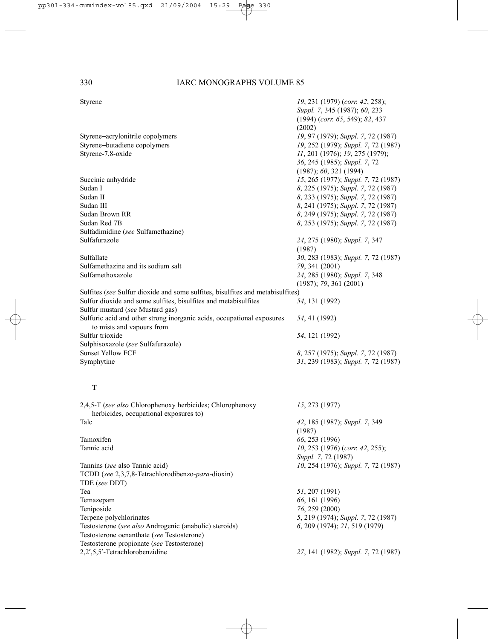|  | wenc |  |
|--|------|--|

| Styrene                                                                                             | 19, 231 (1979) (corr. 42, 258);<br>Suppl. 7, 345 (1987); 60, 233<br>$(1994)$ (corr. 65, 549); 82, 437<br>(2002) |
|-----------------------------------------------------------------------------------------------------|-----------------------------------------------------------------------------------------------------------------|
| Styrene-acrylonitrile copolymers                                                                    | 19, 97 (1979); Suppl. 7, 72 (1987)                                                                              |
| Styrene-butadiene copolymers                                                                        | 19, 252 (1979); Suppl. 7, 72 (1987)                                                                             |
| Styrene-7,8-oxide                                                                                   | 11, 201 (1976); 19, 275 (1979);<br>36, 245 (1985); Suppl. 7, 72<br>(1987); 60, 321 (1994)                       |
| Succinic anhydride                                                                                  | 15, 265 (1977); Suppl. 7, 72 (1987)                                                                             |
| Sudan I                                                                                             | 8, 225 (1975); Suppl. 7, 72 (1987)                                                                              |
| Sudan II                                                                                            | 8, 233 (1975); Suppl. 7, 72 (1987)                                                                              |
| Sudan III                                                                                           | 8, 241 (1975); Suppl. 7, 72 (1987)                                                                              |
| Sudan Brown RR                                                                                      | 8, 249 (1975); Suppl. 7, 72 (1987)                                                                              |
| Sudan Red 7B                                                                                        | 8, 253 (1975); Suppl. 7, 72 (1987)                                                                              |
| Sulfadimidine (see Sulfamethazine)                                                                  |                                                                                                                 |
| Sulfafurazole                                                                                       | 24, 275 (1980); Suppl. 7, 347<br>(1987)                                                                         |
| Sulfallate                                                                                          | 30, 283 (1983); Suppl. 7, 72 (1987)                                                                             |
| Sulfamethazine and its sodium salt                                                                  | 79, 341 (2001)                                                                                                  |
| Sulfamethoxazole                                                                                    | 24, 285 (1980); Suppl. 7, 348                                                                                   |
|                                                                                                     | (1987); 79, 361 (2001)                                                                                          |
| Sulfites (see Sulfur dioxide and some sulfites, bisulfites and metabisulfites)                      |                                                                                                                 |
| Sulfur dioxide and some sulfites, bisulfites and metabisulfites                                     | 54, 131 (1992)                                                                                                  |
| Sulfur mustard (see Mustard gas)                                                                    |                                                                                                                 |
| Sulfuric acid and other strong inorganic acids, occupational exposures<br>to mists and vapours from | 54, 41 (1992)                                                                                                   |
| Sulfur trioxide                                                                                     | 54, 121 (1992)                                                                                                  |
| Sulphisoxazole (see Sulfafurazole)                                                                  |                                                                                                                 |
| <b>Sunset Yellow FCF</b>                                                                            | 8, 257 (1975); Suppl. 7, 72 (1987)                                                                              |
| Symphytine                                                                                          | 31, 239 (1983); Suppl. 7, 72 (1987)                                                                             |
| T                                                                                                   |                                                                                                                 |
| 2,4,5-T (see also Chlorophenoxy herbicides; Chlorophenoxy                                           | 15, 273 (1977)                                                                                                  |

| $2,4,3$ -1 (see also Chrorophenoxy herbicides, Chrorophenoxy | 13.213119111                        |
|--------------------------------------------------------------|-------------------------------------|
| herbicides, occupational exposures to)                       |                                     |
| Talc                                                         | 42, 185 (1987); Suppl. 7, 349       |
|                                                              | (1987)                              |
| Tamoxifen                                                    | 66, 253 (1996)                      |
| Tannic acid                                                  | $10, 253$ (1976) (corr. 42, 255);   |
|                                                              | Suppl. 7, 72 (1987)                 |
| Tannins (see also Tannic acid)                               | 10, 254 (1976); Suppl. 7, 72 (1987) |
| TCDD (see 2,3,7,8-Tetrachlorodibenzo-para-dioxin)            |                                     |
| TDE (see DDT)                                                |                                     |
| Tea                                                          | 51, 207 (1991)                      |
| Temazepam                                                    | 66, 161 (1996)                      |
| Teniposide                                                   | 76, 259 (2000)                      |
| Terpene polychlorinates                                      | 5, 219 (1974); Suppl. 7, 72 (1987)  |
| Testosterone (see also Androgenic (anabolic) steroids)       | 6, 209 (1974); 21, 519 (1979)       |
| Testosterone oenanthate (see Testosterone)                   |                                     |
| Testosterone propionate (see Testosterone)                   |                                     |
| 2,2',5,5'-Tetrachlorobenzidine                               | 27, 141 (1982); Suppl. 7, 72 (1987) |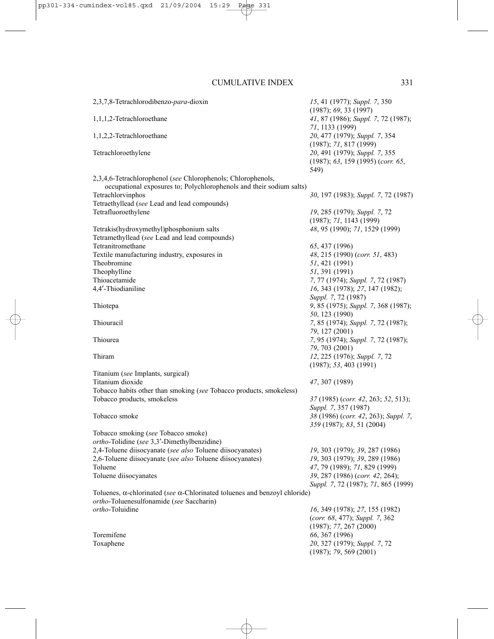| 2,3,7,8-Tetrachlorodibenzo-para-dioxin                                                                                               | 15, 41 (1977); Suppl. 7, 350<br>(1987); 69, 33 (1997)                      |
|--------------------------------------------------------------------------------------------------------------------------------------|----------------------------------------------------------------------------|
| 1,1,1,2-Tetrachloroethane                                                                                                            | 41, 87 (1986); Suppl. 7, 72 (1987);<br>71, 1133 (1999)                     |
| 1,1,2,2-Tetrachloroethane                                                                                                            | 20, 477 (1979); Suppl. 7, 354<br>(1987); 71, 817 (1999)                    |
| Tetrachloroethylene                                                                                                                  | 20, 491 (1979); Suppl. 7, 355<br>(1987); 63, 159 (1995) (corr. 65,<br>549) |
| 2,3,4,6-Tetrachlorophenol (see Chlorophenols; Chlorophenols,<br>occupational exposures to; Polychlorophenols and their sodium salts) |                                                                            |
| Tetrachlorvinphos                                                                                                                    | 30, 197 (1983); Suppl. 7, 72 (1987)                                        |
| Tetraethyllead (see Lead and lead compounds)                                                                                         |                                                                            |
| Tetrafluoroethylene                                                                                                                  | 19, 285 (1979); Suppl. 7, 72                                               |
|                                                                                                                                      | (1987); 71, 1143 (1999)                                                    |
| Tetrakis(hydroxymethyl)phosphonium salts                                                                                             | 48, 95 (1990); 71, 1529 (1999)                                             |
| Tetramethyllead (see Lead and lead compounds)                                                                                        |                                                                            |
| Tetranitromethane                                                                                                                    | 65, 437 (1996)                                                             |
| Textile manufacturing industry, exposures in                                                                                         | 48, 215 (1990) (corr. 51, 483)                                             |
| Theobromine                                                                                                                          | 51, 421 (1991)                                                             |
| Theophylline                                                                                                                         | 51, 391 (1991)                                                             |
| Thioacetamide<br>4,4'-Thiodianiline                                                                                                  | 7, 77 (1974); Suppl. 7, 72 (1987)<br>16, 343 (1978); 27, 147 (1982);       |
|                                                                                                                                      | Suppl. 7, 72 (1987)                                                        |
| Thiotepa                                                                                                                             | 9, 85 (1975); Suppl. 7, 368 (1987);                                        |
|                                                                                                                                      | 50, 123 (1990)                                                             |
| Thiouracil                                                                                                                           | 7, 85 (1974); Suppl. 7, 72 (1987);                                         |
|                                                                                                                                      | 79, 127 (2001)                                                             |
| Thiourea                                                                                                                             | 7, 95 (1974); Suppl. 7, 72 (1987);                                         |
|                                                                                                                                      | 79, 703 (2001)                                                             |
| Thiram                                                                                                                               | 12, 225 (1976); Suppl. 7, 72                                               |
|                                                                                                                                      | (1987); 53, 403 (1991)                                                     |
| Titanium (see Implants, surgical)                                                                                                    |                                                                            |
| Titanium dioxide                                                                                                                     | 47, 307 (1989)                                                             |
| Tobacco habits other than smoking (see Tobacco products, smokeless)<br>Tobacco products, smokeless                                   | 37 (1985) (corr. 42, 263; 52, 513);                                        |
|                                                                                                                                      | Suppl. 7, 357 (1987)                                                       |
| Tobacco smoke                                                                                                                        | 38 (1986) (corr. 42, 263); Suppl. 7,                                       |
|                                                                                                                                      | 359 (1987); 83, 51 (2004)                                                  |
| Tobacco smoking (see Tobacco smoke)                                                                                                  |                                                                            |
| ortho-Tolidine (see 3,3'-Dimethylbenzidine)                                                                                          |                                                                            |
| 2,4-Toluene diisocyanate (see also Toluene diisocyanates)                                                                            | 19, 303 (1979); 39, 287 (1986)                                             |
| 2,6-Toluene diisocyanate (see also Toluene diisocyanates)                                                                            | 19, 303 (1979); 39, 289 (1986)                                             |
| Toluene                                                                                                                              | 47, 79 (1989); 71, 829 (1999)                                              |
| Toluene diisocyanates                                                                                                                | 39, 287 (1986) (corr. 42, 264);                                            |
|                                                                                                                                      | Suppl. 7, 72 (1987); 71, 865 (1999)                                        |
| Toluenes, $\alpha$ -chlorinated (see $\alpha$ -Chlorinated toluenes and benzoyl chloride)                                            |                                                                            |
| ortho-Toluenesulfonamide (see Saccharin)<br>ortho-Toluidine                                                                          | 16, 349 (1978); 27, 155 (1982)                                             |
|                                                                                                                                      | (corr. 68, 477); Suppl. 7, 362                                             |
|                                                                                                                                      | (1987); 77, 267 (2000)                                                     |
| Toremifene                                                                                                                           | 66, 367 (1996)                                                             |
| Toxaphene                                                                                                                            | 20, 327 (1979); Suppl. 7, 72                                               |
|                                                                                                                                      | (1987); 79, 569 (2001)                                                     |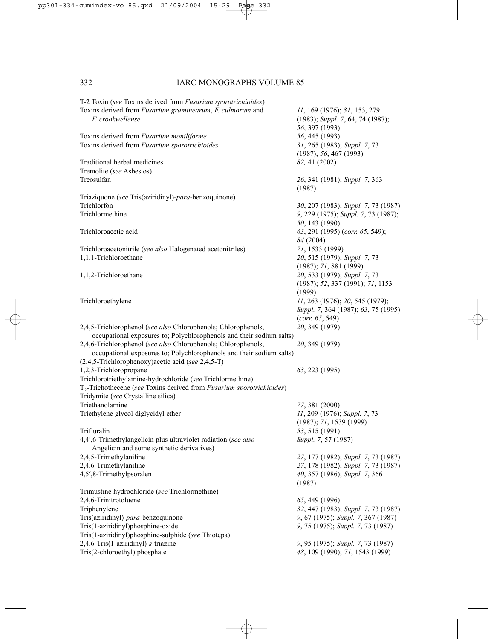T-2 Toxin (*see* Toxins derived from *Fusarium sporotrichioides*) Toxins derived from *Fusarium graminearum*, *F. culmorum* and *11*, 169 (1976); *31*, 153, 279 *F. crookwellense* (1983); *Suppl. 7*, 64, 74 (1987); *56*, 397 (1993) Toxins derived from *Fusarium moniliforme* 56, 445 (1993)<br>
Toxins derived from *Fusarium sporotrichioides* 31, 265 (1983); *Suppl.* 7, 73 Toxins derived from *Fusarium sporotrichioides* (1987); *56*, 467 (1993) Traditional herbal medicines *82,* 41 (2002) Tremolite (*see* Asbestos) Treosulfan *26*, 341 (1981); *Suppl. 7*, 363 (1987) Triaziquone (*see* Tris(aziridinyl)-*para*-benzoquinone) Trichlorfon *30*, 207 (1983); *Suppl. 7*, 73 (1987) Trichlormethine *9*, 229 (1975); *Suppl. 7*, 73 (1987); *50*, 143 (1990) Trichloroacetic acid *63*, 291 (1995) (*corr. 65*, 549); *84* (2004) Trichloroacetonitrile (*see also* Halogenated acetonitriles) *71*, 1533 (1999) 1,1,1-Trichloroethane *20*, 515 (1979); *Suppl. 7*, 73 (1987); *71*, 881 (1999) 1,1,2-Trichloroethane *20*, 533 (1979); *Suppl. 7*, 73 (1987); *52*, 337 (1991); *71*, 1153 (1999) Trichloroethylene *11*, 263 (1976); *20*, 545 (1979); *Suppl. 7*, 364 (1987); *63*, 75 (1995) (*corr. 65*, 549) 2,4,5-Trichlorophenol (*see also* Chlorophenols; Chlorophenols, *20*, 349 (1979) occupational exposures to; Polychlorophenols and their sodium salts) 2,4,6-Trichlorophenol (*see also* Chlorophenols; Chlorophenols, *20*, 349 (1979) occupational exposures to; Polychlorophenols and their sodium salts) (2,4,5-Trichlorophenoxy)acetic acid (*see* 2,4,5-T) 1,2,3-Trichloropropane *63*, 223 (1995) Trichlorotriethylamine-hydrochloride (*see* Trichlormethine) T2-Trichothecene (*see* Toxins derived from *Fusarium sporotrichioides*) Tridymite (*see* Crystalline silica) Triethanolamine *77*, 381 (2000) Triethylene glycol diglycidyl ether *11*, 209 (1976); *Suppl. 7*, 73 (1987); *71*, 1539 (1999) Trifluralin *53*, 515 (1991) 4,4′,6-Trimethylangelicin plus ultraviolet radiation (*see also Suppl. 7*, 57 (1987) Angelicin and some synthetic derivatives) 2,4,5-Trimethylaniline *27*, 177 (1982); *Suppl. 7*, 73 (1987) 2,4,6-Trimethylaniline *27*, 178 (1982); *Suppl. 7*, 73 (1987) 4,5′,8-Trimethylpsoralen *40*, 357 (1986); *Suppl. 7*, 366 (1987) Trimustine hydrochloride (*see* Trichlormethine) 2,4,6-Trinitrotoluene *65*, 449 (1996) Triphenylene *32*, 447 (1983); *Suppl. 7*, 73 (1987) Tris(aziridinyl)-*para*-benzoquinone *9*, 67 (1975); *Suppl. 7*, 367 (1987) Tris(1-aziridinyl)phosphine-oxide *9*, 75 (1975); *Suppl. 7*, 73 (1987) Tris(1-aziridinyl)phosphine-sulphide (*see* Thiotepa) 2,4,6-Tris(1-aziridinyl)-*s*-triazine *9*, 95 (1975); *Suppl. 7*, 73 (1987) Tris(2-chloroethyl) phosphate *48*, 109 (1990); *71*, 1543 (1999)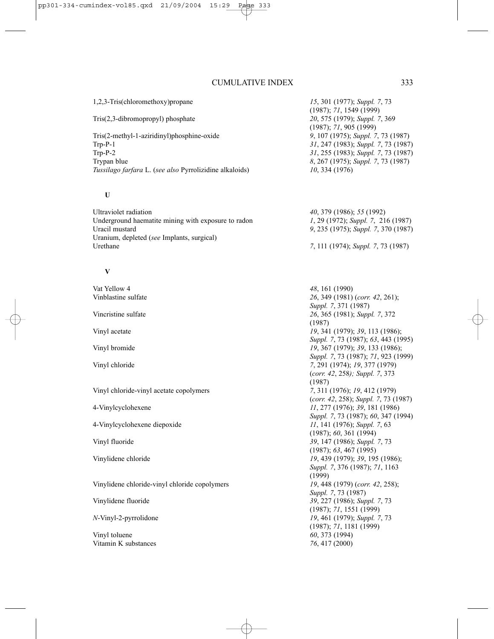1,2,3-Tris(chloromethoxy)propane *15*, 301 (1977); *Suppl. 7*, 73 (1987); *71*, 1549 (1999) Tris(2,3-dibromopropyl) phosphate *20*, 575 (1979); *Suppl. 7*, 369 (1987); *71*, 905 (1999) Tris(2-methyl-1-aziridinyl)phosphine-oxide *9*, 107 (1975); *Suppl. 7*, 73 (1987) Trp-P-1 *31*, 247 (1983); *Suppl. 7*, 73 (1987) 31, 255 (1983); *Suppl.* 7, 73 (1987) Trypan blue *8*, 267 (1975); *Suppl. 7*, 73 (1987) *Tussilago farfara* L. (*see also* Pyrrolizidine alkaloids) *10*, 334 (1976) **U** Ultraviolet radiation *40*, 379 (1986); *55* (1992) Underground haematite mining with exposure to radon *1*, 29 (1972); *Suppl. 7*, 216 (1987) Uracil mustard *9*, 235 (1975); *Suppl. 7*, 370 (1987) Uranium, depleted (*see* Implants, surgical) Urethane *7*, 111 (1974); *Suppl. 7*, 73 (1987) **V** Vat Yellow 4 **48**, 161 (1990)<br>
Vinhlastine sulfate 26 349 (1981) Vinblastine sulfate *26*, 349 (1981) (*corr. 42*, 261); *Suppl. 7*, 371 (1987) Vincristine sulfate *26*, 365 (1981); *Suppl. 7*, 372 (1987) Vinyl acetate *19*, 341 (1979); *39*, 113 (1986); *Suppl. 7*, 73 (1987); *63*, 443 (1995) Vinyl bromide *19*, 367 (1979); *39*, 133 (1986); *Suppl. 7*, 73 (1987); *71*, 923 (1999) Vinyl chloride *7*, 291 (1974); *19*, 377 (1979) (*corr. 42*, 258*); Suppl. 7*, 373 (1987) Vinyl chloride-vinyl acetate copolymers *7*, 311 (1976); *19*, 412 (1979) (*corr. 42*, 258); *Suppl. 7*, 73 (1987) 4-Vinylcyclohexene *11*, 277 (1976); *39*, 181 (1986) *Suppl. 7*, 73 (1987); *60*, 347 (1994) 4-Vinylcyclohexene diepoxide *11*, 141 (1976); *Suppl. 7*, 63 (1987); *60*, 361 (1994) Vinyl fluoride *39*, 147 (1986); *Suppl. 7*, 73 (1987); *63*, 467 (1995) Vinylidene chloride *19*, 439 (1979); *39*, 195 (1986); *Suppl. 7*, 376 (1987); *71*, 1163 (1999) Vinylidene chloride-vinyl chloride copolymers *19*, 448 (1979) (*corr. 42*, 258); *Suppl. 7*, 73 (1987) Vinylidene fluoride *39*, 227 (1986); *Suppl. 7*, 73 (1987); *71*, 1551 (1999) *N*-Vinyl-2-pyrrolidone *19*, 461 (1979); *Suppl. 7*, 73 (1987); *71*, 1181 (1999)

Vinyl toluene *60*, 373 (1994) Vitamin K substances *76*, 417 (2000)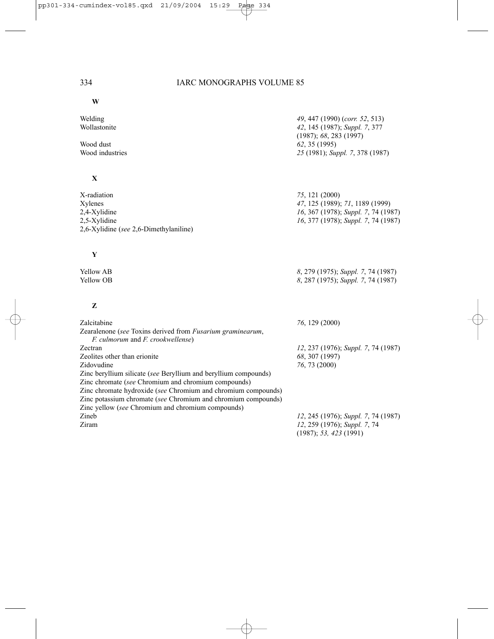**W**

| Welding<br>Wollastonite<br>Wood dust<br>Wood industries                                                                                                                                                                                                                                                                                                                | 49, 447 (1990) (corr. 52, 513)<br>42, 145 (1987); Suppl. 7, 377<br>(1987); 68, 283 (1997)<br>62, 35 (1995)<br>25 (1981); Suppl. 7, 378 (1987) |
|------------------------------------------------------------------------------------------------------------------------------------------------------------------------------------------------------------------------------------------------------------------------------------------------------------------------------------------------------------------------|-----------------------------------------------------------------------------------------------------------------------------------------------|
| X                                                                                                                                                                                                                                                                                                                                                                      |                                                                                                                                               |
| X-radiation<br>Xylenes<br>2,4-Xylidine<br>2,5-Xylidine<br>2,6-Xylidine (see 2,6-Dimethylaniline)                                                                                                                                                                                                                                                                       | 75, 121 (2000)<br>47, 125 (1989); 71, 1189 (1999)<br>16, 367 (1978); Suppl. 7, 74 (1987)<br>16, 377 (1978); Suppl. 7, 74 (1987)               |
| Y                                                                                                                                                                                                                                                                                                                                                                      |                                                                                                                                               |
| <b>Yellow AB</b><br>Yellow OB                                                                                                                                                                                                                                                                                                                                          | 8, 279 (1975); Suppl. 7, 74 (1987)<br>8, 287 (1975); Suppl. 7, 74 (1987)                                                                      |
| Z                                                                                                                                                                                                                                                                                                                                                                      |                                                                                                                                               |
| Zalcitabine<br>Zearalenone (see Toxins derived from Fusarium graminearum,<br>F. culmorum and F. crookwellense)                                                                                                                                                                                                                                                         | 76, 129 (2000)                                                                                                                                |
| Zectran<br>Zeolites other than erionite<br>Zidovudine<br>Zinc beryllium silicate (see Beryllium and beryllium compounds)<br>Zinc chromate (see Chromium and chromium compounds)<br>Zinc chromate hydroxide (see Chromium and chromium compounds)<br>Zinc potassium chromate (see Chromium and chromium compounds)<br>Zinc yellow (see Chromium and chromium compounds) | 12, 237 (1976); Suppl. 7, 74 (1987)<br>68, 307 (1997)<br>76, 73 (2000)                                                                        |
| Zineb<br>Ziram                                                                                                                                                                                                                                                                                                                                                         | 12, 245 (1976); Suppl. 7, 74 (1987)<br>12, 259 (1976); Suppl. 7, 74<br>(1987); 53, 423 (1991)                                                 |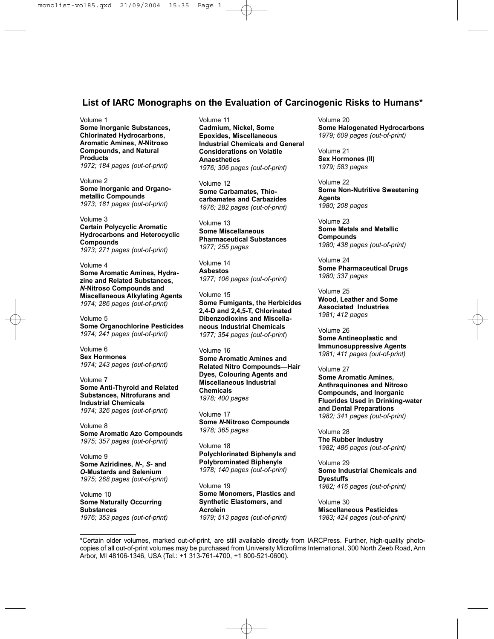# **List of IARC Monographs on the Evaluation of Carcinogenic Risks to Humans\***

#### Volume 1

**Some Inorganic Substances, Chlorinated Hydrocarbons, Aromatic Amines,** *N***-Nitroso Compounds, and Natural Products** *1972; 184 pages (out-of-print)*

Volume 2 **Some Inorganic and Organometallic Compounds** *1973; 181 pages (out-of-print)*

Volume 3 **Certain Polycyclic Aromatic Hydrocarbons and Heterocyclic Compounds** *1973; 271 pages (out-of-print)*

Volume 4 **Some Aromatic Amines, Hydrazine and Related Substances,** *N***-Nitroso Compounds and Miscellaneous Alkylating Agents** *1974; 286 pages (out-of-print)*

Volume 5 **Some Organochlorine Pesticides** *1974; 241 pages (out-of-print)*

Volume 6 **Sex Hormones** *1974; 243 pages (out-of-print)*

Volume 7 **Some Anti-Thyroid and Related Substances, Nitrofurans and Industrial Chemicals** *1974; 326 pages (out-of-print)*

Volume 8 **Some Aromatic Azo Compounds** *1975; 357 pages (out-of-print)*

Volume 9 **Some Aziridines,** *N***-,** *S***- and** *O***-Mustards and Selenium** *1975; 268 pages (out-of-print)*

Volume 10 **Some Naturally Occurring Substances** *1976; 353 pages (out-of-print)* Volume 11 **Cadmium, Nickel, Some Epoxides, Miscellaneous Industrial Chemicals and General Considerations on Volatile Anaesthetics** *1976; 306 pages (out-of-print)*

Volume 12 **Some Carbamates, Thiocarbamates and Carbazides** *1976; 282 pages (out-of-print)*

Volume 13 **Some Miscellaneous Pharmaceutical Substances** *1977; 255 pages*

Volume 14 **Asbestos** *1977; 106 pages (out-of-print)*

Volume 15 **Some Fumigants, the Herbicides 2,4-D and 2,4,5-T, Chlorinated Dibenzodioxins and Miscellaneous Industrial Chemicals** *1977; 354 pages (out-of-print*)

Volume 16 **Some Aromatic Amines and Related Nitro Compounds—Hair Dyes, Colouring Agents and Miscellaneous Industrial Chemicals** *1978; 400 pages*

Volume 17 **Some** *N***-Nitroso Compounds** *1978; 365 pages*

Volume 18 **Polychlorinated Biphenyls and Polybrominated Biphenyls** *1978; 140 pages (out-of-print)*

Volume 19 **Some Monomers, Plastics and Synthetic Elastomers, and Acrolein** *1979; 513 pages (out-of-print)*

Volume 20 **Some Halogenated Hydrocarbons** *1979; 609 pages (out-of-print)*

Volume 21 **Sex Hormones (II)** *1979; 583 pages*

Volume 22 **Some Non-Nutritive Sweetening Agents** *1980; 208 pages*

Volume 23 **Some Metals and Metallic Compounds** *1980; 438 pages (out-of-print)*

Volume 24 **Some Pharmaceutical Drugs** *1980; 337 pages*

Volume 25 **Wood, Leather and Some Associated Industries** *1981; 412 pages*

Volume 26 **Some Antineoplastic and Immunosuppressive Agents** *1981; 411 pages (out-of-print)*

#### Volume 27

**Some Aromatic Amines, Anthraquinones and Nitroso Compounds, and Inorganic Fluorides Used in Drinking-water and Dental Preparations** *1982; 341 pages (out-of-print)*

Volume 28 **The Rubber Industry** *1982; 486 pages (out-of-print)*

Volume 29 **Some Industrial Chemicals and Dyestuffs** *1982; 416 pages (out-of-print)*

Volume 30 **Miscellaneous Pesticides** *1983; 424 pages (out-of-print)*

\*Certain older volumes, marked out-of-print, are still available directly from IARCPress. Further, high-quality photocopies of all out-of-print volumes may be purchased from University Microfilms International, 300 North Zeeb Road, Ann Arbor, MI 48106-1346, USA (Tel.: +1 313-761-4700, +1 800-521-0600).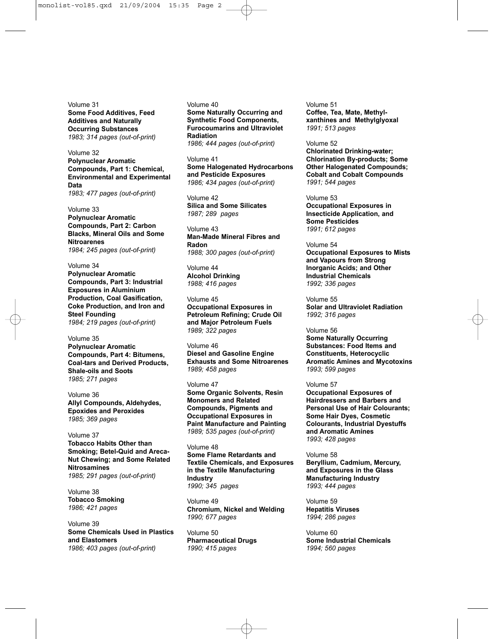Volume 31 **Some Food Additives, Feed Additives and Naturally Occurring Substances** *1983; 314 pages (out-of-print)*

Volume 32 **Polynuclear Aromatic Compounds, Part 1: Chemical, Environmental and Experimental Data** *1983; 477 pages (out-of-print)*

Volume 33 **Polynuclear Aromatic Compounds, Part 2: Carbon Blacks, Mineral Oils and Some Nitroarenes** *1984; 245 pages (out-of-print)*

Volume 34 **Polynuclear Aromatic Compounds, Part 3: Industrial Exposures in Aluminium Production, Coal Gasification, Coke Production, and Iron and Steel Founding** *1984; 219 pages (out-of-print)*

Volume 35 **Polynuclear Aromatic Compounds, Part 4: Bitumens, Coal-tars and Derived Products, Shale-oils and Soots** *1985; 271 pages*

Volume 36 **Allyl Compounds, Aldehydes, Epoxides and Peroxides**  *1985; 369 pages*

Volume 37 **Tobacco Habits Other than Smoking; Betel-Quid and Areca-Nut Chewing; and Some Related Nitrosamines** *1985; 291 pages (out-of-print)*

Volume 38 **Tobacco Smoking** *1986; 421 pages*

Volume 39 **Some Chemicals Used in Plastics and Elastomers** *1986; 403 pages (out-of-print)*

Volume 40 **Some Naturally Occurring and Synthetic Food Components, Furocoumarins and Ultraviolet Radiation** *1986; 444 pages (out-of-print)*

Volume 41 **Some Halogenated Hydrocarbons and Pesticide Exposures** *1986; 434 pages (out-of-print)*

Volume 42 **Silica and Some Silicates** *1987; 289 pages*

Volume 43 **Man-Made Mineral Fibres and Radon** *1988; 300 pages (out-of-print)*

Volume 44 **Alcohol Drinking** *1988; 416 pages*

Volume 45 **Occupational Exposures in Petroleum Refining; Crude Oil and Major Petroleum Fuels** *1989; 322 pages*

Volume 46 **Diesel and Gasoline Engine Exhausts and Some Nitroarenes** *1989; 458 pages*

Volume 47 **Some Organic Solvents, Resin Monomers and Related Compounds, Pigments and Occupational Exposures in Paint Manufacture and Painting** *1989; 535 pages (out-of-print)*

Volume 48 **Some Flame Retardants and Textile Chemicals, and Exposures in the Textile Manufacturing Industry** *1990; 345 pages*

Volume 49 **Chromium, Nickel and Welding** *1990; 677 pages*

Volume 50 **Pharmaceutical Drugs** *1990; 415 pages*

Volume 51 **Coffee, Tea, Mate, Methylxanthines and Methylglyoxal** *1991; 513 pages*

Volume 52 **Chlorinated Drinking-water; Chlorination By-products; Some Other Halogenated Compounds; Cobalt and Cobalt Compounds** *1991; 544 pages*

Volume 53 **Occupational Exposures in Insecticide Application, and Some Pesticides** *1991; 612 pages*

Volume 54 **Occupational Exposures to Mists and Vapours from Strong Inorganic Acids; and Other Industrial Chemicals** *1992; 336 pages*

Volume 55 **Solar and Ultraviolet Radiation** *1992; 316 pages*

Volume 56 **Some Naturally Occurring Substances: Food Items and Constituents, Heterocyclic Aromatic Amines and Mycotoxins** *1993; 599 pages*

#### Volume 57

**Occupational Exposures of Hairdressers and Barbers and Personal Use of Hair Colourants; Some Hair Dyes, Cosmetic Colourants, Industrial Dyestuffs and Aromatic Amines** *1993; 428 pages*

#### Volume 58

**Beryllium, Cadmium, Mercury, and Exposures in the Glass Manufacturing Industry** *1993; 444 pages*

Volume 59 **Hepatitis Viruses** *1994; 286 pages*

Volume 60 **Some Industrial Chemicals** *1994; 560 pages*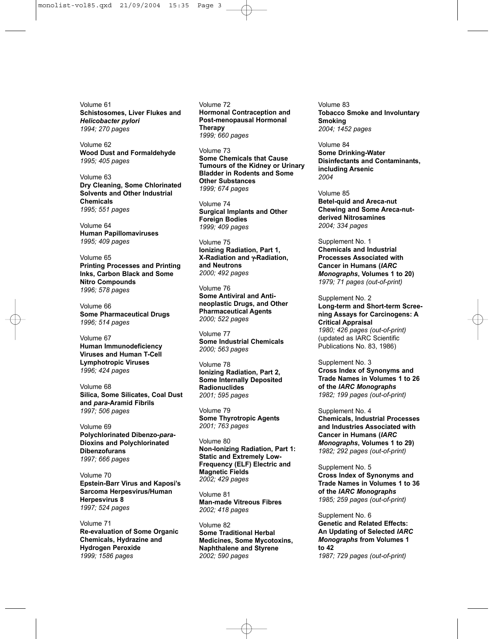Volume 61 **Schistosomes, Liver Flukes and** *Helicobacter pylori 1994; 270 pages*

Volume 62 **Wood Dust and Formaldehyde** *1995; 405 pages*

Volume 63 **Dry Cleaning, Some Chlorinated Solvents and Other Industrial Chemicals** *1995; 551 pages*

Volume 64 **Human Papillomaviruses** *1995; 409 pages*

Volume 65 **Printing Processes and Printing Inks, Carbon Black and Some Nitro Compounds** *1996; 578 pages*

Volume 66 **Some Pharmaceutical Drugs** *1996; 514 pages*

Volume 67 **Human Immunodeficiency Viruses and Human T-Cell Lymphotropic Viruses** *1996; 424 pages*

Volume 68 **Silica, Some Silicates, Coal Dust and** *para***-Aramid Fibrils** *1997; 506 pages*

Volume 69 **Polychlorinated Dibenzo-***para***-Dioxins and Polychlorinated Dibenzofurans** *1997; 666 pages*

Volume 70 **Epstein-Barr Virus and Kaposi's Sarcoma Herpesvirus/Human Herpesvirus 8** *1997; 524 pages*

Volume 71 **Re-evaluation of Some Organic Chemicals, Hydrazine and Hydrogen Peroxide** *1999; 1586 pages*

Volume 72 **Hormonal Contraception and Post-menopausal Hormonal Therapy** *1999; 660 pages*

Volume 73 **Some Chemicals that Cause Tumours of the Kidney or Urinary Bladder in Rodents and Some Other Substances** *1999; 674 pages*

Volume 74 **Surgical Implants and Other Foreign Bodies** *1999; 409 pages*

Volume 75 **Ionizing Radiation, Part 1, X-Radiation and** γ**-Radiation, and Neutrons** *2000; 492 pages*

Volume 76 **Some Antiviral and Antineoplastic Drugs, and Other Pharmaceutical Agents** *2000; 522 pages*

Volume 77 **Some Industrial Chemicals** *2000; 563 pages*

Volume 78 **Ionizing Radiation, Part 2, Some Internally Deposited Radionuclides** *2001; 595 pages*

Volume 79 **Some Thyrotropic Agents** *2001; 763 pages*

Volume 80 **Non-Ionizing Radiation, Part 1: Static and Extremely Low-Frequency (ELF) Electric and Magnetic Fields** *2002; 429 pages*

Volume 81 **Man-made Vitreous Fibres** *2002; 418 pages*

Volume 82 **Some Traditional Herbal Medicines, Some Mycotoxins, Naphthalene and Styrene** *2002; 590 pages*

Volume 83 **Tobacco Smoke and Involuntary Smoking** *2004; 1452 pages*

Volume 84 **Some Drinking-Water Disinfectants and Contaminants, including Arsenic** *2004*

Volume 85 **Betel-quid and Areca-nut Chewing and Some Areca-nutderived Nitrosamines** *2004; 334 pages*

Supplement No. 1 **Chemicals and Industrial Processes Associated with Cancer in Humans (***IARC Monographs***, Volumes 1 to 20)** *1979; 71 pages (out-of-print)*

Supplement No. 2 **Long-term and Short-term Screening Assays for Carcinogens: A Critical Appraisal** *1980; 426 pages (out-of-print)* (updated as IARC Scientific Publications No. 83, 1986)

Supplement No. 3 **Cross Index of Synonyms and Trade Names in Volumes 1 to 26 of the** *IARC Monographs 1982; 199 pages (out-of-print)*

Supplement No. 4 **Chemicals, Industrial Processes and Industries Associated with Cancer in Humans (***IARC Monographs***, Volumes 1 to 29)** *1982; 292 pages (out-of-print)*

Supplement No. 5 **Cross Index of Synonyms and Trade Names in Volumes 1 to 36 of the** *IARC Monographs 1985; 259 pages (out-of-print)*

Supplement No. 6 **Genetic and Related Effects: An Updating of Selected** *IARC Monographs* **from Volumes 1 to 42** *1987; 729 pages (out-of-print)*